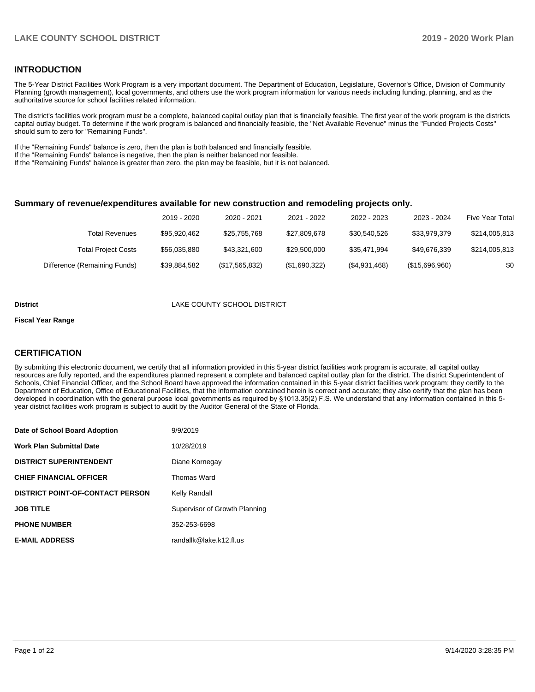### **INTRODUCTION**

The 5-Year District Facilities Work Program is a very important document. The Department of Education, Legislature, Governor's Office, Division of Community Planning (growth management), local governments, and others use the work program information for various needs including funding, planning, and as the authoritative source for school facilities related information.

The district's facilities work program must be a complete, balanced capital outlay plan that is financially feasible. The first year of the work program is the districts capital outlay budget. To determine if the work program is balanced and financially feasible, the "Net Available Revenue" minus the "Funded Projects Costs" should sum to zero for "Remaining Funds".

If the "Remaining Funds" balance is zero, then the plan is both balanced and financially feasible.

If the "Remaining Funds" balance is negative, then the plan is neither balanced nor feasible.

If the "Remaining Funds" balance is greater than zero, the plan may be feasible, but it is not balanced.

### **Summary of revenue/expenditures available for new construction and remodeling projects only.**

| Five Year Total | 2023 - 2024    | 2022 - 2023   | 2021 - 2022   | 2020 - 2021    | 2019 - 2020  |                              |
|-----------------|----------------|---------------|---------------|----------------|--------------|------------------------------|
| \$214,005,813   | \$33.979.379   | \$30,540,526  | \$27,809,678  | \$25,755,768   | \$95.920.462 | Total Revenues               |
| \$214,005,813   | \$49.676.339   | \$35.471.994  | \$29,500,000  | \$43,321,600   | \$56,035,880 | <b>Total Project Costs</b>   |
| \$0             | (\$15,696,960) | (\$4,931,468) | (\$1,690,322) | (\$17,565,832) | \$39,884,582 | Difference (Remaining Funds) |

#### **District** LAKE COUNTY SCHOOL DISTRICT

#### **Fiscal Year Range**

### **CERTIFICATION**

By submitting this electronic document, we certify that all information provided in this 5-year district facilities work program is accurate, all capital outlay resources are fully reported, and the expenditures planned represent a complete and balanced capital outlay plan for the district. The district Superintendent of Schools, Chief Financial Officer, and the School Board have approved the information contained in this 5-year district facilities work program; they certify to the Department of Education, Office of Educational Facilities, that the information contained herein is correct and accurate; they also certify that the plan has been developed in coordination with the general purpose local governments as required by §1013.35(2) F.S. We understand that any information contained in this 5 year district facilities work program is subject to audit by the Auditor General of the State of Florida.

| Date of School Board Adoption           | 9/9/2019                      |
|-----------------------------------------|-------------------------------|
| <b>Work Plan Submittal Date</b>         | 10/28/2019                    |
| <b>DISTRICT SUPERINTENDENT</b>          | Diane Kornegay                |
| <b>CHIEF FINANCIAL OFFICER</b>          | Thomas Ward                   |
| <b>DISTRICT POINT-OF-CONTACT PERSON</b> | Kelly Randall                 |
| <b>JOB TITLE</b>                        | Supervisor of Growth Planning |
| <b>PHONE NUMBER</b>                     | 352-253-6698                  |
| <b>E-MAIL ADDRESS</b>                   | randallk@lake.k12.fl.us       |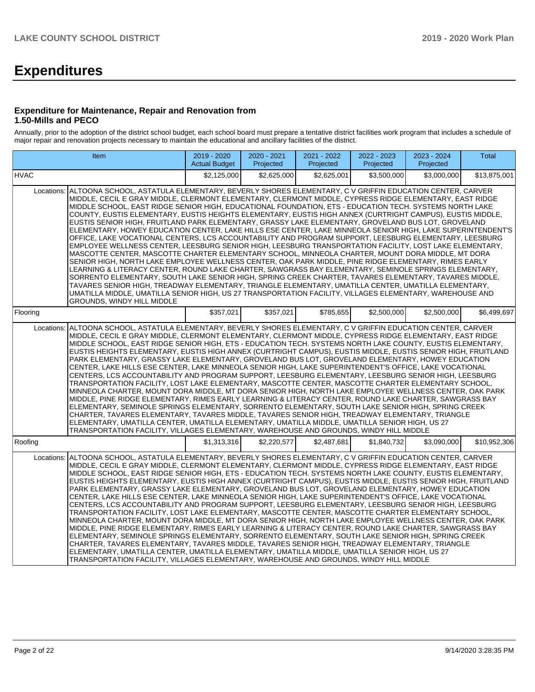# **Expenditures**

### **Expenditure for Maintenance, Repair and Renovation from 1.50-Mills and PECO**

Annually, prior to the adoption of the district school budget, each school board must prepare a tentative district facilities work program that includes a schedule of major repair and renovation projects necessary to maintain the educational and ancillary facilities of the district.

| Item                                                                                                                                                                                                                                                                                                                                                                                                                                                                                                                                                                                                                                                                                                                                                                                                                                                                                                                                                                                                                                                                                                                                                                                                                                                                                                                                                                                                                                                                                                                                                                                        | 2019 - 2020<br><b>Actual Budget</b> | 2020 - 2021<br>Projected | 2021 - 2022<br>Projected | 2022 - 2023<br>Projected | 2023 - 2024<br>Projected | <b>Total</b> |  |  |  |  |  |
|---------------------------------------------------------------------------------------------------------------------------------------------------------------------------------------------------------------------------------------------------------------------------------------------------------------------------------------------------------------------------------------------------------------------------------------------------------------------------------------------------------------------------------------------------------------------------------------------------------------------------------------------------------------------------------------------------------------------------------------------------------------------------------------------------------------------------------------------------------------------------------------------------------------------------------------------------------------------------------------------------------------------------------------------------------------------------------------------------------------------------------------------------------------------------------------------------------------------------------------------------------------------------------------------------------------------------------------------------------------------------------------------------------------------------------------------------------------------------------------------------------------------------------------------------------------------------------------------|-------------------------------------|--------------------------|--------------------------|--------------------------|--------------------------|--------------|--|--|--|--|--|
| <b>HVAC</b>                                                                                                                                                                                                                                                                                                                                                                                                                                                                                                                                                                                                                                                                                                                                                                                                                                                                                                                                                                                                                                                                                                                                                                                                                                                                                                                                                                                                                                                                                                                                                                                 | \$2,125,000                         | \$2.625.000              | \$2.625.001              | \$3.500.000              | \$3,000,000              | \$13,875,001 |  |  |  |  |  |
| ALTOONA SCHOOL, ASTATULA ELEMENTARY, BEVERLY SHORES ELEMENTARY, C V GRIFFIN EDUCATION CENTER, CARVER<br>Locations:<br>MIDDLE, CECIL E GRAY MIDDLE, CLERMONT ELEMENTARY, CLERMONT MIDDLE, CYPRESS RIDGE ELEMENTARY, EAST RIDGE<br>MIDDLE SCHOOL. EAST RIDGE SENIOR HIGH, EDUCATIONAL FOUNDATION, ETS - EDUCATION TECH, SYSTEMS NORTH LAKE<br>COUNTY, EUSTIS ELEMENTARY, EUSTIS HEIGHTS ELEMENTARY, EUSTIS HIGH ANNEX (CURTRIGHT CAMPUS), EUSTIS MIDDLE,<br>EUSTIS SENIOR HIGH, FRUITLAND PARK ELEMENTARY, GRASSY LAKE ELEMENTARY, GROVELAND BUS LOT, GROVELAND<br>ELEMENTARY. HOWEY EDUCATION CENTER. LAKE HILLS ESE CENTER. LAKE MINNEOLA SENIOR HIGH. LAKE SUPERINTENDENT'S<br>OFFICE, LAKE VOCATIONAL CENTERS, LCS ACCOUNTABILITY AND PROGRAM SUPPORT, LEESBURG ELEMENTARY, LEESBURG<br>EMPLOYEE WELLNESS CENTER, LEESBURG SENIOR HIGH, LEESBURG TRANSPORTATION FACILITY, LOST LAKE ELEMENTARY,<br>MASCOTTE CENTER, MASCOTTE CHARTER ELEMENTARY SCHOOL, MINNEOLA CHARTER, MOUNT DORA MIDDLE, MT DORA<br>SENIOR HIGH, NORTH LAKE EMPLOYEE WELLNESS CENTER, OAK PARK MIDDLE, PINE RIDGE ELEMENTARY, RIMES EARLY<br>LEARNING & LITERACY CENTER, ROUND LAKE CHARTER, SAWGRASS BAY ELEMENTARY, SEMINOLE SPRINGS ELEMENTARY,<br>SORRENTO ELEMENTARY, SOUTH LAKE SENIOR HIGH, SPRING CREEK CHARTER, TAVARES ELEMENTARY, TAVARES MIDDLE,<br>TAVARES SENIOR HIGH, TREADWAY ELEMENTARY, TRIANGLE ELEMENTARY, UMATILLA CENTER, UMATILLA ELEMENTARY,<br>UMATILLA MIDDLE, UMATILLA SENIOR HIGH, US 27 TRANSPORTATION FACILITY, VILLAGES ELEMENTARY, WAREHOUSE AND<br><b>GROUNDS. WINDY HILL MIDDLE</b> |                                     |                          |                          |                          |                          |              |  |  |  |  |  |
| Flooring                                                                                                                                                                                                                                                                                                                                                                                                                                                                                                                                                                                                                                                                                                                                                                                                                                                                                                                                                                                                                                                                                                                                                                                                                                                                                                                                                                                                                                                                                                                                                                                    | \$357,021                           | \$357,021                | \$785.655                | \$2,500,000              | \$2,500,000              | \$6.499.697  |  |  |  |  |  |
| ALTOONA SCHOOL, ASTATULA ELEMENTARY, BEVERLY SHORES ELEMENTARY, C V GRIFFIN EDUCATION CENTER, CARVER<br>Locations:<br>MIDDLE, CECIL E GRAY MIDDLE, CLERMONT ELEMENTARY, CLERMONT MIDDLE, CYPRESS RIDGE ELEMENTARY, EAST RIDGE<br>MIDDLE SCHOOL, EAST RIDGE SENIOR HIGH, ETS - EDUCATION TECH. SYSTEMS NORTH LAKE COUNTY, EUSTIS ELEMENTARY,<br>EUSTIS HEIGHTS ELEMENTARY, EUSTIS HIGH ANNEX (CURTRIGHT CAMPUS), EUSTIS MIDDLE, EUSTIS SENIOR HIGH, FRUITLAND<br>PARK ELEMENTARY, GRASSY LAKE ELEMENTARY, GROVELAND BUS LOT, GROVELAND ELEMENTARY, HOWEY EDUCATION<br>CENTER. LAKE HILLS ESE CENTER. LAKE MINNEOLA SENIOR HIGH. LAKE SUPERINTENDENT'S OFFICE. LAKE VOCATIONAL<br>CENTERS, LCS ACCOUNTABILITY AND PROGRAM SUPPORT, LEESBURG ELEMENTARY, LEESBURG SENIOR HIGH, LEESBURG<br>TRANSPORTATION FACILITY, LOST LAKE ELEMENTARY, MASCOTTE CENTER, MASCOTTE CHARTER ELEMENTARY SCHOOL,<br>MINNEOLA CHARTER, MOUNT DORA MIDDLE, MT DORA SENIOR HIGH, NORTH LAKE EMPLOYEE WELLNESS CENTER, OAK PARK<br>MIDDLE, PINE RIDGE ELEMENTARY, RIMES EARLY LEARNING & LITERACY CENTER, ROUND LAKE CHARTER, SAWGRASS BAY<br>ELEMENTARY, SEMINOLE SPRINGS ELEMENTARY, SORRENTO ELEMENTARY, SOUTH LAKE SENIOR HIGH, SPRING CREEK<br>CHARTER. TAVARES ELEMENTARY. TAVARES MIDDLE. TAVARES SENIOR HIGH. TREADWAY ELEMENTARY. TRIANGLE<br>ELEMENTARY, UMATILLA CENTER, UMATILLA ELEMENTARY, UMATILLA MIDDLE, UMATILLA SENIOR HIGH, US 27<br>TRANSPORTATION FACILITY, VILLAGES ELEMENTARY, WAREHOUSE AND GROUNDS, WINDY HILL MIDDLE                                                                      |                                     |                          |                          |                          |                          |              |  |  |  |  |  |
| Roofing                                                                                                                                                                                                                                                                                                                                                                                                                                                                                                                                                                                                                                                                                                                                                                                                                                                                                                                                                                                                                                                                                                                                                                                                                                                                                                                                                                                                                                                                                                                                                                                     | \$1,313,316                         | \$2,220,577              | \$2,487,681              | \$1,840,732              | \$3,090,000              | \$10,952,306 |  |  |  |  |  |
| ALTOONA SCHOOL, ASTATULA ELEMENTARY, BEVERLY SHORES ELEMENTARY, C V GRIFFIN EDUCATION CENTER, CARVER<br>Locations:<br>MIDDLE, CECIL E GRAY MIDDLE, CLERMONT ELEMENTARY, CLERMONT MIDDLE, CYPRESS RIDGE ELEMENTARY, EAST RIDGE<br>MIDDLE SCHOOL, EAST RIDGE SENIOR HIGH, ETS - EDUCATION TECH. SYSTEMS NORTH LAKE COUNTY, EUSTIS ELEMENTARY,<br>EUSTIS HEIGHTS ELEMENTARY, EUSTIS HIGH ANNEX (CURTRIGHT CAMPUS), EUSTIS MIDDLE, EUSTIS SENIOR HIGH, FRUITLAND<br>PARK ELEMENTARY, GRASSY LAKE ELEMENTARY, GROVELAND BUS LOT, GROVELAND ELEMENTARY, HOWEY EDUCATION<br>CENTER, LAKE HILLS ESE CENTER, LAKE MINNEOLA SENIOR HIGH, LAKE SUPERINTENDENT'S OFFICE, LAKE VOCATIONAL<br>CENTERS, LCS ACCOUNTABILITY AND PROGRAM SUPPORT, LEESBURG ELEMENTARY, LEESBURG SENIOR HIGH, LEESBURG<br>TRANSPORTATION FACILITY, LOST LAKE ELEMENTARY, MASCOTTE CENTER, MASCOTTE CHARTER ELEMENTARY SCHOOL,<br>MINNEOLA CHARTER, MOUNT DORA MIDDLE, MT DORA SENIOR HIGH, NORTH LAKE EMPLOYEE WELLNESS CENTER, OAK PARK<br>MIDDLE, PINE RIDGE ELEMENTARY, RIMES EARLY LEARNING & LITERACY CENTER, ROUND LAKE CHARTER, SAWGRASS BAY<br>ELEMENTARY, SEMINOLE SPRINGS ELEMENTARY, SORRENTO ELEMENTARY, SOUTH LAKE SENIOR HIGH, SPRING CREEK<br>CHARTER, TAVARES ELEMENTARY, TAVARES MIDDLE, TAVARES SENIOR HIGH, TREADWAY ELEMENTARY, TRIANGLE<br>ELEMENTARY, UMATILLA CENTER, UMATILLA ELEMENTARY, UMATILLA MIDDLE, UMATILLA SENIOR HIGH, US 27<br>TRANSPORTATION FACILITY, VILLAGES ELEMENTARY, WAREHOUSE AND GROUNDS, WINDY HILL MIDDLE                                                                      |                                     |                          |                          |                          |                          |              |  |  |  |  |  |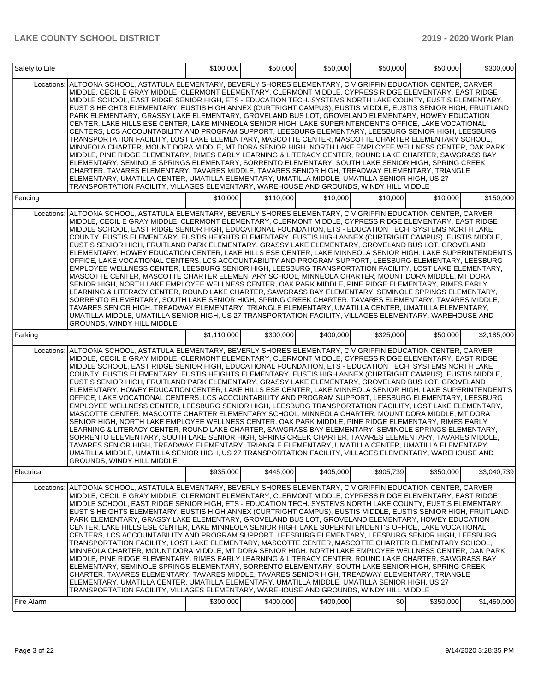| Safety to Life |                                                                                                                                                                                                                                                                                                                                                                                                                                                                                                                                                                                                                                                                                                                                                                                                                                                                                                                                                                                                                                                                                                                                                                                                                                                                                                                                                                                                                                                                                                                                                                                   | \$100,000   | \$50,000  | \$50,000  | \$50,000  | \$50,000  | \$300,000   |
|----------------|-----------------------------------------------------------------------------------------------------------------------------------------------------------------------------------------------------------------------------------------------------------------------------------------------------------------------------------------------------------------------------------------------------------------------------------------------------------------------------------------------------------------------------------------------------------------------------------------------------------------------------------------------------------------------------------------------------------------------------------------------------------------------------------------------------------------------------------------------------------------------------------------------------------------------------------------------------------------------------------------------------------------------------------------------------------------------------------------------------------------------------------------------------------------------------------------------------------------------------------------------------------------------------------------------------------------------------------------------------------------------------------------------------------------------------------------------------------------------------------------------------------------------------------------------------------------------------------|-------------|-----------|-----------|-----------|-----------|-------------|
| Locations:     | ALTOONA SCHOOL, ASTATULA ELEMENTARY, BEVERLY SHORES ELEMENTARY, C V GRIFFIN EDUCATION CENTER, CARVER<br>MIDDLE, CECIL E GRAY MIDDLE, CLERMONT ELEMENTARY, CLERMONT MIDDLE, CYPRESS RIDGE ELEMENTARY, EAST RIDGE<br>MIDDLE SCHOOL, EAST RIDGE SENIOR HIGH, ETS - EDUCATION TECH. SYSTEMS NORTH LAKE COUNTY, EUSTIS ELEMENTARY,<br>EUSTIS HEIGHTS ELEMENTARY, EUSTIS HIGH ANNEX (CURTRIGHT CAMPUS), EUSTIS MIDDLE, EUSTIS SENIOR HIGH, FRUITLAND<br>PARK ELEMENTARY, GRASSY LAKE ELEMENTARY, GROVELAND BUS LOT, GROVELAND ELEMENTARY, HOWEY EDUCATION<br>CENTER, LAKE HILLS ESE CENTER, LAKE MINNEOLA SENIOR HIGH, LAKE SUPERINTENDENT'S OFFICE, LAKE VOCATIONAL<br>CENTERS, LCS ACCOUNTABILITY AND PROGRAM SUPPORT, LEESBURG ELEMENTARY, LEESBURG SENIOR HIGH, LEESBURG<br>TRANSPORTATION FACILITY, LOST LAKE ELEMENTARY, MASCOTTE CENTER, MASCOTTE CHARTER ELEMENTARY SCHOOL,<br>MINNEOLA CHARTER, MOUNT DORA MIDDLE, MT DORA SENIOR HIGH, NORTH LAKE EMPLOYEE WELLNESS CENTER, OAK PARK<br>MIDDLE, PINE RIDGE ELEMENTARY, RIMES EARLY LEARNING & LITERACY CENTER, ROUND LAKE CHARTER, SAWGRASS BAY<br>ELEMENTARY, SEMINOLE SPRINGS ELEMENTARY, SORRENTO ELEMENTARY, SOUTH LAKE SENIOR HIGH, SPRING CREEK<br>CHARTER, TAVARES ELEMENTARY, TAVARES MIDDLE, TAVARES SENIOR HIGH, TREADWAY ELEMENTARY, TRIANGLE<br>ELEMENTARY, UMATILLA CENTER, UMATILLA ELEMENTARY, UMATILLA MIDDLE, UMATILLA SENIOR HIGH, US 27<br>TRANSPORTATION FACILITY, VILLAGES ELEMENTARY, WAREHOUSE AND GROUNDS, WINDY HILL MIDDLE                                                                          |             |           |           |           |           |             |
| Fencing        |                                                                                                                                                                                                                                                                                                                                                                                                                                                                                                                                                                                                                                                                                                                                                                                                                                                                                                                                                                                                                                                                                                                                                                                                                                                                                                                                                                                                                                                                                                                                                                                   | \$10,000    | \$110,000 | \$10,000  | \$10,000  | \$10,000  | \$150,000   |
| Locations:     | ALTOONA SCHOOL, ASTATULA ELEMENTARY, BEVERLY SHORES ELEMENTARY, C V GRIFFIN EDUCATION CENTER, CARVER<br>MIDDLE, CECIL E GRAY MIDDLE, CLERMONT ELEMENTARY, CLERMONT MIDDLE, CYPRESS RIDGE ELEMENTARY, EAST RIDGE<br>MIDDLE SCHOOL, EAST RIDGE SENIOR HIGH, EDUCATIONAL FOUNDATION, ETS - EDUCATION TECH. SYSTEMS NORTH LAKE<br>COUNTY, EUSTIS ELEMENTARY, EUSTIS HEIGHTS ELEMENTARY, EUSTIS HIGH ANNEX (CURTRIGHT CAMPUS), EUSTIS MIDDLE,<br>EUSTIS SENIOR HIGH, FRUITLAND PARK ELEMENTARY, GRASSY LAKE ELEMENTARY, GROVELAND BUS LOT, GROVELAND<br>ELEMENTARY, HOWEY EDUCATION CENTER, LAKE HILLS ESE CENTER, LAKE MINNEOLA SENIOR HIGH, LAKE SUPERINTENDENT'S<br>OFFICE, LAKE VOCATIONAL CENTERS, LCS ACCOUNTABILITY AND PROGRAM SUPPORT, LEESBURG ELEMENTARY, LEESBURG<br>EMPLOYEE WELLNESS CENTER, LEESBURG SENIOR HIGH, LEESBURG TRANSPORTATION FACILITY, LOST LAKE ELEMENTARY,<br>MASCOTTE CENTER, MASCOTTE CHARTER ELEMENTARY SCHOOL, MINNEOLA CHARTER, MOUNT DORA MIDDLE, MT DORA<br>SENIOR HIGH, NORTH LAKE EMPLOYEE WELLNESS CENTER, OAK PARK MIDDLE, PINE RIDGE ELEMENTARY, RIMES EARLY<br>LEARNING & LITERACY CENTER, ROUND LAKE CHARTER, SAWGRASS BAY ELEMENTARY, SEMINOLE SPRINGS ELEMENTARY,<br>SORRENTO ELEMENTARY, SOUTH LAKE SENIOR HIGH, SPRING CREEK CHARTER, TAVARES ELEMENTARY, TAVARES MIDDLE,<br>TAVARES SENIOR HIGH, TREADWAY ELEMENTARY, TRIANGLE ELEMENTARY, UMATILLA CENTER, UMATILLA ELEMENTARY,<br>UMATILLA MIDDLE, UMATILLA SENIOR HIGH, US 27 TRANSPORTATION FACILITY, VILLAGES ELEMENTARY, WAREHOUSE AND<br>GROUNDS, WINDY HILL MIDDLE            |             |           |           |           |           |             |
| Parking        |                                                                                                                                                                                                                                                                                                                                                                                                                                                                                                                                                                                                                                                                                                                                                                                                                                                                                                                                                                                                                                                                                                                                                                                                                                                                                                                                                                                                                                                                                                                                                                                   | \$1,110,000 | \$300,000 | \$400,000 | \$325,000 | \$50,000  | \$2,185,000 |
|                | Locations: ALTOONA SCHOOL, ASTATULA ELEMENTARY, BEVERLY SHORES ELEMENTARY, C V GRIFFIN EDUCATION CENTER, CARVER<br>MIDDLE, CECIL E GRAY MIDDLE, CLERMONT ELEMENTARY, CLERMONT MIDDLE, CYPRESS RIDGE ELEMENTARY, EAST RIDGE<br>MIDDLE SCHOOL, EAST RIDGE SENIOR HIGH, EDUCATIONAL FOUNDATION, ETS - EDUCATION TECH. SYSTEMS NORTH LAKE<br>COUNTY, EUSTIS ELEMENTARY, EUSTIS HEIGHTS ELEMENTARY, EUSTIS HIGH ANNEX (CURTRIGHT CAMPUS), EUSTIS MIDDLE,<br>EUSTIS SENIOR HIGH, FRUITLAND PARK ELEMENTARY, GRASSY LAKE ELEMENTARY, GROVELAND BUS LOT, GROVELAND<br>ELEMENTARY, HOWEY EDUCATION CENTER, LAKE HILLS ESE CENTER, LAKE MINNEOLA SENIOR HIGH, LAKE SUPERINTENDENT'S<br>OFFICE, LAKE VOCATIONAL CENTERS, LCS ACCOUNTABILITY AND PROGRAM SUPPORT, LEESBURG ELEMENTARY, LEESBURG<br>EMPLOYEE WELLNESS CENTER, LEESBURG SENIOR HIGH, LEESBURG TRANSPORTATION FACILITY, LOST LAKE ELEMENTARY,<br>MASCOTTE CENTER, MASCOTTE CHARTER ELEMENTARY SCHOOL, MINNEOLA CHARTER, MOUNT DORA MIDDLE, MT DORA<br>SENIOR HIGH, NORTH LAKE EMPLOYEE WELLNESS CENTER, OAK PARK MIDDLE, PINE RIDGE ELEMENTARY, RIMES EARLY<br>LEARNING & LITERACY CENTER, ROUND LAKE CHARTER, SAWGRASS BAY ELEMENTARY, SEMINOLE SPRINGS ELEMENTARY,<br>SORRENTO ELEMENTARY, SOUTH LAKE SENIOR HIGH, SPRING CREEK CHARTER, TAVARES ELEMENTARY, TAVARES MIDDLE,<br>TAVARES SENIOR HIGH, TREADWAY ELEMENTARY, TRIANGLE ELEMENTARY, UMATILLA CENTER, UMATILLA ELEMENTARY,<br>UMATILLA MIDDLE, UMATILLA SENIOR HIGH, US 27 TRANSPORTATION FACILITY, VILLAGES ELEMENTARY, WAREHOUSE AND<br>GROUNDS, WINDY HILL MIDDLE |             |           |           |           |           |             |
| Electrical     |                                                                                                                                                                                                                                                                                                                                                                                                                                                                                                                                                                                                                                                                                                                                                                                                                                                                                                                                                                                                                                                                                                                                                                                                                                                                                                                                                                                                                                                                                                                                                                                   | \$935,000   | \$445,000 | \$405,000 | \$905,739 | \$350,000 | \$3,040,739 |
| Locations:     | ALTOONA SCHOOL, ASTATULA ELEMENTARY, BEVERLY SHORES ELEMENTARY, C V GRIFFIN EDUCATION CENTER, CARVER<br>MIDDLE, CECIL E GRAY MIDDLE, CLERMONT ELEMENTARY, CLERMONT MIDDLE, CYPRESS RIDGE ELEMENTARY, EAST RIDGE<br>MIDDLE SCHOOL, EAST RIDGE SENIOR HIGH, ETS - EDUCATION TECH. SYSTEMS NORTH LAKE COUNTY, EUSTIS ELEMENTARY,<br>EUSTIS HEIGHTS ELEMENTARY, EUSTIS HIGH ANNEX (CURTRIGHT CAMPUS), EUSTIS MIDDLE, EUSTIS SENIOR HIGH, FRUITLAND<br>PARK ELEMENTARY, GRASSY LAKE ELEMENTARY, GROVELAND BUS LOT, GROVELAND ELEMENTARY, HOWEY EDUCATION<br>CENTER, LAKE HILLS ESE CENTER, LAKE MINNEOLA SENIOR HIGH, LAKE SUPERINTENDENT'S OFFICE, LAKE VOCATIONAL<br>CENTERS, LCS ACCOUNTABILITY AND PROGRAM SUPPORT, LEESBURG ELEMENTARY, LEESBURG SENIOR HIGH, LEESBURG<br>TRANSPORTATION FACILITY, LOST LAKE ELEMENTARY, MASCOTTE CENTER, MASCOTTE CHARTER ELEMENTARY SCHOOL,<br>MINNEOLA CHARTER, MOUNT DORA MIDDLE, MT DORA SENIOR HIGH, NORTH LAKE EMPLOYEE WELLNESS CENTER, OAK PARK<br>MIDDLE, PINE RIDGE ELEMENTARY, RIMES EARLY LEARNING & LITERACY CENTER, ROUND LAKE CHARTER, SAWGRASS BAY<br>ELEMENTARY, SEMINOLE SPRINGS ELEMENTARY, SORRENTO ELEMENTARY, SOUTH LAKE SENIOR HIGH, SPRING CREEK<br>CHARTER, TAVARES ELEMENTARY, TAVARES MIDDLE, TAVARES SENIOR HIGH, TREADWAY ELEMENTARY, TRIANGLE<br>ELEMENTARY, UMATILLA CENTER, UMATILLA ELEMENTARY, UMATILLA MIDDLE, UMATILLA SENIOR HIGH, US 27<br>TRANSPORTATION FACILITY, VILLAGES ELEMENTARY, WAREHOUSE AND GROUNDS, WINDY HILL MIDDLE                                                                          |             |           |           |           |           |             |
| Fire Alarm     |                                                                                                                                                                                                                                                                                                                                                                                                                                                                                                                                                                                                                                                                                                                                                                                                                                                                                                                                                                                                                                                                                                                                                                                                                                                                                                                                                                                                                                                                                                                                                                                   | \$300,000   | \$400,000 | \$400,000 | \$0       | \$350,000 | \$1,450,000 |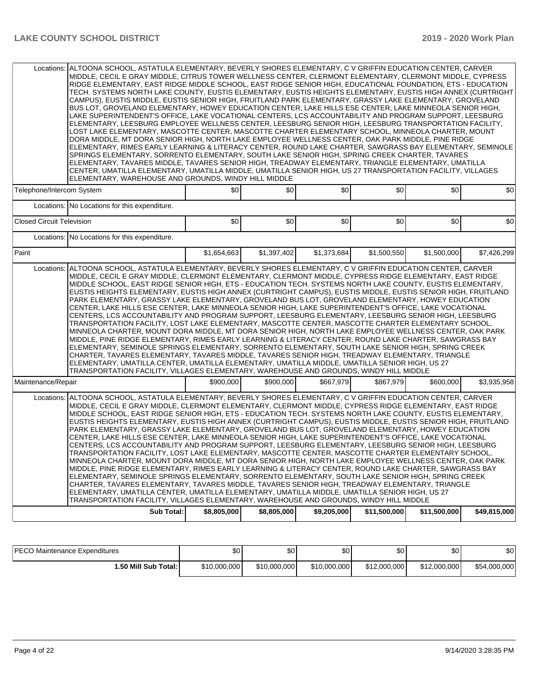|                                  | Locations: ALTOONA SCHOOL, ASTATULA ELEMENTARY, BEVERLY SHORES ELEMENTARY, C V GRIFFIN EDUCATION CENTER, CARVER<br>MIDDLE, CECIL E GRAY MIDDLE, CITRUS TOWER WELLNESS CENTER, CLERMONT ELEMENTARY, CLERMONT MIDDLE, CYPRESS<br>RIDGE ELEMENTARY, EAST RIDGE MIDDLE SCHOOL, EAST RIDGE SENIOR HIGH, EDUCATIONAL FOUNDATION, ETS - EDUCATION<br>TECH. SYSTEMS NORTH LAKE COUNTY, EUSTIS ELEMENTARY, EUSTIS HEIGHTS ELEMENTARY, EUSTIS HIGH ANNEX (CURTRIGHT<br>CAMPUS), EUSTIS MIDDLE, EUSTIS SENIOR HIGH, FRUITLAND PARK ELEMENTARY, GRASSY LAKE ELEMENTARY, GROVELAND<br>BUS LOT, GROVELAND ELEMENTARY, HOWEY EDUCATION CENTER, LAKE HILLS ESE CENTER, LAKE MINNEOLA SENIOR HIGH,<br>LAKE SUPERINTENDENT'S OFFICE. LAKE VOCATIONAL CENTERS. LCS ACCOUNTABILITY AND PROGRAM SUPPORT. LEESBURG<br>ELEMENTARY, LEESBURG EMPLOYEE WELLNESS CENTER, LEESBURG SENIOR HIGH, LEESBURG TRANSPORTATION FACILITY,<br>LOST LAKE ELEMENTARY, MASCOTTE CENTER, MASCOTTE CHARTER ELEMENTARY SCHOOL, MINNEOLA CHARTER, MOUNT<br>DORA MIDDLE, MT DORA SENIOR HIGH, NORTH LAKE EMPLOYEE WELLNESS CENTER, OAK PARK MIDDLE, PINE RIDGE<br>ELEMENTARY, RIMES EARLY LEARNING & LITERACY CENTER, ROUND LAKE CHARTER, SAWGRASS BAY ELEMENTARY, SEMINOLE<br>SPRINGS ELEMENTARY, SORRENTO ELEMENTARY, SOUTH LAKE SENIOR HIGH, SPRING CREEK CHARTER, TAVARES<br>ELEMENTARY, TAVARES MIDDLE, TAVARES SENIOR HIGH, TREADWAY ELEMENTARY, TRIANGLE ELEMENTARY, UMATILLA<br>CENTER, UMATILLA ELEMENTARY, UMATILLA MIDDLE, UMATILLA SENIOR HIGH, US 27 TRANSPORTATION FACILITY, VILLAGES<br>ELEMENTARY, WAREHOUSE AND GROUNDS, WINDY HILL MIDDLE |             |             |             |              |              |              |  |  |  |  |  |
|----------------------------------|-----------------------------------------------------------------------------------------------------------------------------------------------------------------------------------------------------------------------------------------------------------------------------------------------------------------------------------------------------------------------------------------------------------------------------------------------------------------------------------------------------------------------------------------------------------------------------------------------------------------------------------------------------------------------------------------------------------------------------------------------------------------------------------------------------------------------------------------------------------------------------------------------------------------------------------------------------------------------------------------------------------------------------------------------------------------------------------------------------------------------------------------------------------------------------------------------------------------------------------------------------------------------------------------------------------------------------------------------------------------------------------------------------------------------------------------------------------------------------------------------------------------------------------------------------------------------------------------------------------------|-------------|-------------|-------------|--------------|--------------|--------------|--|--|--|--|--|
| Telephone/Intercom System        |                                                                                                                                                                                                                                                                                                                                                                                                                                                                                                                                                                                                                                                                                                                                                                                                                                                                                                                                                                                                                                                                                                                                                                                                                                                                                                                                                                                                                                                                                                                                                                                                                 | \$0         | \$0         | \$0         | \$0          | \$0          | \$0          |  |  |  |  |  |
|                                  | Locations: No Locations for this expenditure.                                                                                                                                                                                                                                                                                                                                                                                                                                                                                                                                                                                                                                                                                                                                                                                                                                                                                                                                                                                                                                                                                                                                                                                                                                                                                                                                                                                                                                                                                                                                                                   |             |             |             |              |              |              |  |  |  |  |  |
| <b>Closed Circuit Television</b> |                                                                                                                                                                                                                                                                                                                                                                                                                                                                                                                                                                                                                                                                                                                                                                                                                                                                                                                                                                                                                                                                                                                                                                                                                                                                                                                                                                                                                                                                                                                                                                                                                 | \$0         | \$0         | \$0         | \$0          | \$0          | \$0          |  |  |  |  |  |
|                                  | Locations: No Locations for this expenditure.                                                                                                                                                                                                                                                                                                                                                                                                                                                                                                                                                                                                                                                                                                                                                                                                                                                                                                                                                                                                                                                                                                                                                                                                                                                                                                                                                                                                                                                                                                                                                                   |             |             |             |              |              |              |  |  |  |  |  |
| Paint                            |                                                                                                                                                                                                                                                                                                                                                                                                                                                                                                                                                                                                                                                                                                                                                                                                                                                                                                                                                                                                                                                                                                                                                                                                                                                                                                                                                                                                                                                                                                                                                                                                                 | \$1.654.663 | \$1,397,402 | \$1,373,684 | \$1.500.550  | \$1,500,000  | \$7,426,299  |  |  |  |  |  |
|                                  | ALTOONA SCHOOL, ASTATULA ELEMENTARY, BEVERLY SHORES ELEMENTARY, C V GRIFFIN EDUCATION CENTER, CARVER<br>Locations:<br>MIDDLE, CECIL E GRAY MIDDLE, CLERMONT ELEMENTARY, CLERMONT MIDDLE, CYPRESS RIDGE ELEMENTARY, EAST RIDGE<br>MIDDLE SCHOOL, EAST RIDGE SENIOR HIGH, ETS - EDUCATION TECH. SYSTEMS NORTH LAKE COUNTY, EUSTIS ELEMENTARY,<br>EUSTIS HEIGHTS ELEMENTARY, EUSTIS HIGH ANNEX (CURTRIGHT CAMPUS), EUSTIS MIDDLE, EUSTIS SENIOR HIGH, FRUITLAND<br>PARK ELEMENTARY. GRASSY LAKE ELEMENTARY. GROVELAND BUS LOT. GROVELAND ELEMENTARY. HOWEY EDUCATION<br>CENTER, LAKE HILLS ESE CENTER, LAKE MINNEOLA SENIOR HIGH, LAKE SUPERINTENDENT'S OFFICE, LAKE VOCATIONAL<br>CENTERS, LCS ACCOUNTABILITY AND PROGRAM SUPPORT, LEESBURG ELEMENTARY, LEESBURG SENIOR HIGH, LEESBURG<br>TRANSPORTATION FACILITY, LOST LAKE ELEMENTARY, MASCOTTE CENTER, MASCOTTE CHARTER ELEMENTARY SCHOOL,<br>MINNEOLA CHARTER, MOUNT DORA MIDDLE, MT DORA SENIOR HIGH, NORTH LAKE EMPLOYEE WELLNESS CENTER, OAK PARK<br>MIDDLE, PINE RIDGE ELEMENTARY, RIMES EARLY LEARNING & LITERACY CENTER, ROUND LAKE CHARTER, SAWGRASS BAY<br>ELEMENTARY, SEMINOLE SPRINGS ELEMENTARY, SORRENTO ELEMENTARY, SOUTH LAKE SENIOR HIGH, SPRING CREEK<br>CHARTER, TAVARES ELEMENTARY, TAVARES MIDDLE, TAVARES SENIOR HIGH, TREADWAY ELEMENTARY, TRIANGLE<br>ELEMENTARY, UMATILLA CENTER, UMATILLA ELEMENTARY, UMATILLA MIDDLE, UMATILLA SENIOR HIGH, US 27<br>TRANSPORTATION FACILITY, VILLAGES ELEMENTARY, WAREHOUSE AND GROUNDS, WINDY HILL MIDDLE                                                                                          |             |             |             |              |              |              |  |  |  |  |  |
| Maintenance/Repair               |                                                                                                                                                                                                                                                                                                                                                                                                                                                                                                                                                                                                                                                                                                                                                                                                                                                                                                                                                                                                                                                                                                                                                                                                                                                                                                                                                                                                                                                                                                                                                                                                                 | \$900,000   | \$900,000   | \$667,979   | \$867,979    | \$600,000    | \$3,935,958  |  |  |  |  |  |
|                                  | Locations: ALTOONA SCHOOL, ASTATULA ELEMENTARY, BEVERLY SHORES ELEMENTARY, C V GRIFFIN EDUCATION CENTER, CARVER<br>MIDDLE, CECIL E GRAY MIDDLE, CLERMONT ELEMENTARY, CLERMONT MIDDLE, CYPRESS RIDGE ELEMENTARY, EAST RIDGE<br>MIDDLE SCHOOL, EAST RIDGE SENIOR HIGH, ETS - EDUCATION TECH. SYSTEMS NORTH LAKE COUNTY, EUSTIS ELEMENTARY,<br>EUSTIS HEIGHTS ELEMENTARY, EUSTIS HIGH ANNEX (CURTRIGHT CAMPUS), EUSTIS MIDDLE, EUSTIS SENIOR HIGH, FRUITLAND<br>PARK ELEMENTARY, GRASSY LAKE ELEMENTARY, GROVELAND BUS LOT, GROVELAND ELEMENTARY, HOWEY EDUCATION<br>CENTER, LAKE HILLS ESE CENTER, LAKE MINNEOLA SENIOR HIGH, LAKE SUPERINTENDENT'S OFFICE, LAKE VOCATIONAL<br>CENTERS, LCS ACCOUNTABILITY AND PROGRAM SUPPORT, LEESBURG ELEMENTARY, LEESBURG SENIOR HIGH, LEESBURG<br>TRANSPORTATION FACILITY, LOST LAKE ELEMENTARY, MASCOTTE CENTER, MASCOTTE CHARTER ELEMENTARY SCHOOL,<br>MINNEOLA CHARTER, MOUNT DORA MIDDLE, MT DORA SENIOR HIGH, NORTH LAKE EMPLOYEE WELLNESS CENTER, OAK PARK<br>MIDDLE, PINE RIDGE ELEMENTARY, RIMES EARLY LEARNING & LITERACY CENTER, ROUND LAKE CHARTER, SAWGRASS BAY<br>ELEMENTARY, SEMINOLE SPRINGS ELEMENTARY, SORRENTO ELEMENTARY, SOUTH LAKE SENIOR HIGH, SPRING CREEK<br>CHARTER, TAVARES ELEMENTARY, TAVARES MIDDLE, TAVARES SENIOR HIGH, TREADWAY ELEMENTARY, TRIANGLE<br>ELEMENTARY, UMATILLA CENTER, UMATILLA ELEMENTARY, UMATILLA MIDDLE, UMATILLA SENIOR HIGH, US 27<br>TRANSPORTATION FACILITY, VILLAGES ELEMENTARY, WAREHOUSE AND GROUNDS, WINDY HILL MIDDLE                                                                                             |             |             |             |              |              |              |  |  |  |  |  |
|                                  | <b>Sub Total:</b>                                                                                                                                                                                                                                                                                                                                                                                                                                                                                                                                                                                                                                                                                                                                                                                                                                                                                                                                                                                                                                                                                                                                                                                                                                                                                                                                                                                                                                                                                                                                                                                               | \$8,805,000 | \$8,805,000 | \$9,205,000 | \$11,500,000 | \$11,500,000 | \$49,815,000 |  |  |  |  |  |

| <b>IPECO Maintenance Expenditures</b> | \$0          | ድሰ<br>υU     | \$0          | ሶሳ<br>υU     | \$0          | \$0          |
|---------------------------------------|--------------|--------------|--------------|--------------|--------------|--------------|
| <b>1.50 Mill Sub Total:</b>           | \$10,000,000 | \$10,000,000 | \$10,000,000 | \$12,000,000 | \$12,000,000 | \$54,000,000 |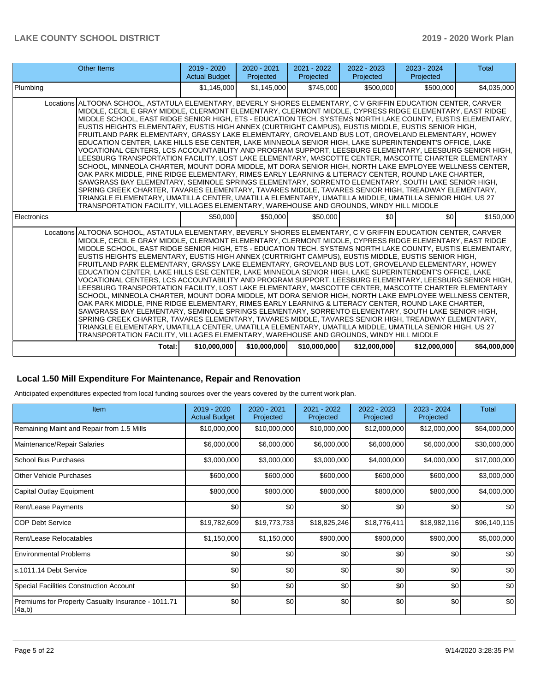| <b>Other Items</b>                                                                                                                                                                                                                                                                                                                                                                                                                                                                                                                                                                                                                                                                                                                                                                                                                                                                                                                                                                                                                                                                                                                                                                                                                                                                                                                                                                                                                                                                                                 | 2019 - 2020<br><b>Actual Budget</b> | $2020 - 2021$<br>Projected | 2021 - 2022<br>Projected | 2022 - 2023<br>Projected | 2023 - 2024<br>Projected | <b>Total</b> |  |
|--------------------------------------------------------------------------------------------------------------------------------------------------------------------------------------------------------------------------------------------------------------------------------------------------------------------------------------------------------------------------------------------------------------------------------------------------------------------------------------------------------------------------------------------------------------------------------------------------------------------------------------------------------------------------------------------------------------------------------------------------------------------------------------------------------------------------------------------------------------------------------------------------------------------------------------------------------------------------------------------------------------------------------------------------------------------------------------------------------------------------------------------------------------------------------------------------------------------------------------------------------------------------------------------------------------------------------------------------------------------------------------------------------------------------------------------------------------------------------------------------------------------|-------------------------------------|----------------------------|--------------------------|--------------------------|--------------------------|--------------|--|
| Plumbing                                                                                                                                                                                                                                                                                                                                                                                                                                                                                                                                                                                                                                                                                                                                                                                                                                                                                                                                                                                                                                                                                                                                                                                                                                                                                                                                                                                                                                                                                                           | \$1,145,000                         | \$1.145.000                | \$745,000                | \$500,000                | \$500,000                | \$4,035,000  |  |
| Locations ALTOONA SCHOOL, ASTATULA ELEMENTARY, BEVERLY SHORES ELEMENTARY, C V GRIFFIN EDUCATION CENTER, CARVER<br>MIDDLE, CECIL E GRAY MIDDLE, CLERMONT ELEMENTARY, CLERMONT MIDDLE, CYPRESS RIDGE ELEMENTARY, EAST RIDGE<br>MIDDLE SCHOOL, EAST RIDGE SENIOR HIGH, ETS - EDUCATION TECH. SYSTEMS NORTH LAKE COUNTY, EUSTIS ELEMENTARY,<br>EUSTIS HEIGHTS ELEMENTARY, EUSTIS HIGH ANNEX (CURTRIGHT CAMPUS), EUSTIS MIDDLE, EUSTIS SENIOR HIGH,<br>FRUITLAND PARK ELEMENTARY, GRASSY LAKE ELEMENTARY, GROVELAND BUS LOT, GROVELAND ELEMENTARY, HOWEY<br>EDUCATION CENTER, LAKE HILLS ESE CENTER, LAKE MINNEOLA SENIOR HIGH, LAKE SUPERINTENDENT'S OFFICE, LAKE<br>VOCATIONAL CENTERS, LCS ACCOUNTABILITY AND PROGRAM SUPPORT, LEESBURG ELEMENTARY, LEESBURG SENIOR HIGH,<br>LEESBURG TRANSPORTATION FACILITY, LOST LAKE ELEMENTARY, MASCOTTE CENTER, MASCOTTE CHARTER ELEMENTARY<br>SCHOOL, MINNEOLA CHARTER, MOUNT DORA MIDDLE, MT DORA SENIOR HIGH, NORTH LAKE EMPLOYEE WELLNESS CENTER,<br>OAK PARK MIDDLE, PINE RIDGE ELEMENTARY, RIMES EARLY LEARNING & LITERACY CENTER, ROUND LAKE CHARTER,<br>SAWGRASS BAY ELEMENTARY, SEMINOLE SPRINGS ELEMENTARY, SORRENTO ELEMENTARY, SOUTH LAKE SENIOR HIGH,<br>SPRING CREEK CHARTER, TAVARES ELEMENTARY, TAVARES MIDDLE, TAVARES SENIOR HIGH, TREADWAY ELEMENTARY,<br>TRIANGLE ELEMENTARY, UMATILLA CENTER, UMATILLA ELEMENTARY, UMATILLA MIDDLE, UMATILLA SENIOR HIGH, US 27<br>TRANSPORTATION FACILITY, VILLAGES ELEMENTARY, WAREHOUSE AND GROUNDS, WINDY HILL MIDDLE |                                     |                            |                          |                          |                          |              |  |
| Electronics                                                                                                                                                                                                                                                                                                                                                                                                                                                                                                                                                                                                                                                                                                                                                                                                                                                                                                                                                                                                                                                                                                                                                                                                                                                                                                                                                                                                                                                                                                        | \$50,000                            | \$50,000                   | \$50,000                 | \$0                      | \$0                      | \$150,000    |  |
| Locations ALTOONA SCHOOL, ASTATULA ELEMENTARY, BEVERLY SHORES ELEMENTARY, C V GRIFFIN EDUCATION CENTER, CARVER<br>MIDDLE, CECIL E GRAY MIDDLE, CLERMONT ELEMENTARY, CLERMONT MIDDLE, CYPRESS RIDGE ELEMENTARY, EAST RIDGE<br>MIDDLE SCHOOL, EAST RIDGE SENIOR HIGH, ETS - EDUCATION TECH. SYSTEMS NORTH LAKE COUNTY, EUSTIS ELEMENTARY,<br>EUSTIS HEIGHTS ELEMENTARY, EUSTIS HIGH ANNEX (CURTRIGHT CAMPUS), EUSTIS MIDDLE, EUSTIS SENIOR HIGH,<br>FRUITLAND PARK ELEMENTARY, GRASSY LAKE ELEMENTARY, GROVELAND BUS LOT, GROVELAND ELEMENTARY, HOWEY<br>EDUCATION CENTER. LAKE HILLS ESE CENTER. LAKE MINNEOLA SENIOR HIGH. LAKE SUPERINTENDENT'S OFFICE. LAKE<br>VOCATIONAL CENTERS, LCS ACCOUNTABILITY AND PROGRAM SUPPORT, LEESBURG ELEMENTARY, LEESBURG SENIOR HIGH,<br>LEESBURG TRANSPORTATION FACILITY. LOST LAKE ELEMENTARY. MASCOTTE CENTER. MASCOTTE CHARTER ELEMENTARY<br>SCHOOL, MINNEOLA CHARTER, MOUNT DORA MIDDLE, MT DORA SENIOR HIGH, NORTH LAKE EMPLOYEE WELLNESS CENTER,<br>OAK PARK MIDDLE, PINE RIDGE ELEMENTARY, RIMES EARLY LEARNING & LITERACY CENTER, ROUND LAKE CHARTER,<br>SAWGRASS BAY ELEMENTARY, SEMINOLE SPRINGS ELEMENTARY, SORRENTO ELEMENTARY, SOUTH LAKE SENIOR HIGH,<br>SPRING CREEK CHARTER, TAVARES ELEMENTARY, TAVARES MIDDLE, TAVARES SENIOR HIGH, TREADWAY ELEMENTARY,<br>TRIANGLE ELEMENTARY, UMATILLA CENTER, UMATILLA ELEMENTARY, UMATILLA MIDDLE, UMATILLA SENIOR HIGH, US 27<br>TRANSPORTATION FACILITY. VILLAGES ELEMENTARY. WAREHOUSE AND GROUNDS. WINDY HILL MIDDLE |                                     |                            |                          |                          |                          |              |  |
| Total:                                                                                                                                                                                                                                                                                                                                                                                                                                                                                                                                                                                                                                                                                                                                                                                                                                                                                                                                                                                                                                                                                                                                                                                                                                                                                                                                                                                                                                                                                                             | \$10,000,000                        | \$10,000,000               | \$10,000,000             | \$12,000,000             | \$12,000,000             | \$54,000,000 |  |

### **Local 1.50 Mill Expenditure For Maintenance, Repair and Renovation**

Anticipated expenditures expected from local funding sources over the years covered by the current work plan.

| Item                                                          | 2019 - 2020<br><b>Actual Budget</b> | 2020 - 2021<br>Projected | 2021 - 2022<br>Projected | 2022 - 2023<br>Projected | 2023 - 2024<br>Projected | <b>Total</b> |
|---------------------------------------------------------------|-------------------------------------|--------------------------|--------------------------|--------------------------|--------------------------|--------------|
| Remaining Maint and Repair from 1.5 Mills                     | \$10,000,000                        | \$10,000,000             | \$10,000,000             | \$12,000,000             | \$12,000,000             | \$54,000,000 |
| Maintenance/Repair Salaries                                   | \$6,000,000                         | \$6,000,000              | \$6,000,000              | \$6,000,000              | \$6,000,000              | \$30,000,000 |
| <b>School Bus Purchases</b>                                   | \$3,000,000                         | \$3,000,000              | \$3,000,000              | \$4,000,000              | \$4,000,000              | \$17,000,000 |
| Other Vehicle Purchases                                       | \$600,000                           | \$600,000                | \$600,000                | \$600,000                | \$600,000                | \$3,000,000  |
| Capital Outlay Equipment                                      | \$800,000                           | \$800,000                | \$800,000                | \$800,000                | \$800,000                | \$4,000,000  |
| Rent/Lease Payments                                           | \$0                                 | \$0                      | \$0                      | \$0                      | \$0                      | \$0          |
| <b>COP Debt Service</b>                                       | \$19,782,609                        | \$19,773,733             | \$18,825,246             | \$18,776,411             | \$18,982,116             | \$96,140,115 |
| Rent/Lease Relocatables                                       | \$1,150,000                         | \$1,150,000              | \$900,000                | \$900,000                | \$900,000                | \$5,000,000  |
| <b>Environmental Problems</b>                                 | \$0                                 | \$0                      | \$0                      | \$0                      | \$0                      | \$0          |
| s.1011.14 Debt Service                                        | \$0                                 | \$0                      | \$0                      | \$0                      | \$0                      | \$0          |
| Special Facilities Construction Account                       | \$0                                 | \$0                      | \$0                      | \$0                      | \$0                      | \$0          |
| Premiums for Property Casualty Insurance - 1011.71<br> (4a,b) | \$0                                 | \$0                      | \$0                      | \$0                      | \$0                      | \$0          |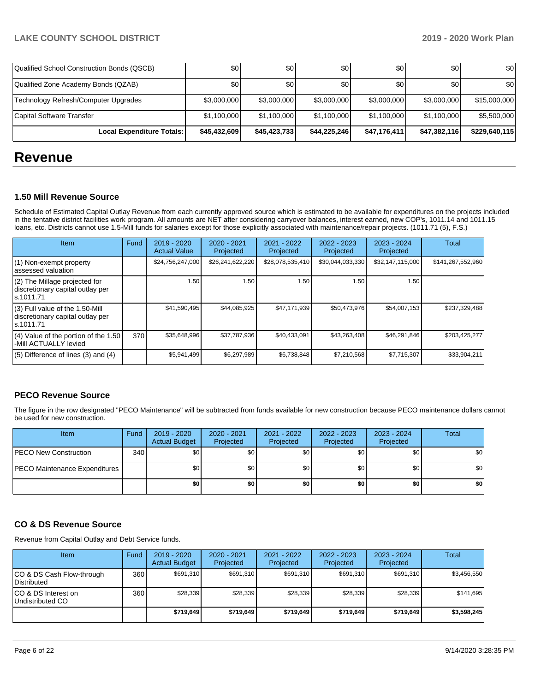| Qualified School Construction Bonds (QSCB) | \$0 <sub>1</sub> | \$0          | \$0          | \$0          | \$0          | \$0           |
|--------------------------------------------|------------------|--------------|--------------|--------------|--------------|---------------|
| Qualified Zone Academy Bonds (QZAB)        | \$0              | \$0          | \$0          | \$0          | \$0          | \$0           |
| Technology Refresh/Computer Upgrades       | \$3,000,000      | \$3,000,000  | \$3,000,000  | \$3,000,000  | \$3,000,000  | \$15,000,000  |
| Capital Software Transfer                  | \$1,100,000      | \$1.100.000  | \$1,100,000  | \$1,100,000  | \$1,100,000  | \$5,500,000   |
| Local Expenditure Totals:                  | \$45,432,609     | \$45,423,733 | \$44.225.246 | \$47,176,411 | \$47,382,116 | \$229,640,115 |

# **Revenue**

# **1.50 Mill Revenue Source**

Schedule of Estimated Capital Outlay Revenue from each currently approved source which is estimated to be available for expenditures on the projects included in the tentative district facilities work program. All amounts are NET after considering carryover balances, interest earned, new COP's, 1011.14 and 1011.15 loans, etc. Districts cannot use 1.5-Mill funds for salaries except for those explicitly associated with maintenance/repair projects. (1011.71 (5), F.S.)

| Item                                                                                | Fund | $2019 - 2020$<br><b>Actual Value</b> | $2020 - 2021$<br>Projected | $2021 - 2022$<br>Projected | $2022 - 2023$<br>Projected | $2023 - 2024$<br>Projected | Total             |
|-------------------------------------------------------------------------------------|------|--------------------------------------|----------------------------|----------------------------|----------------------------|----------------------------|-------------------|
| $(1)$ Non-exempt property<br>lassessed valuation                                    |      | \$24,756,247,000                     | \$26,241,622,220           | \$28,078,535,410           | \$30,044,033,330           | \$32,147,115,000           | \$141,267,552,960 |
| $(2)$ The Millage projected for<br>discretionary capital outlay per<br>ls.1011.71   |      | 1.50                                 | 1.50                       | .50                        | 1.50                       | 1.50                       |                   |
| $(3)$ Full value of the 1.50-Mill<br>discretionary capital outlay per<br>ls.1011.71 |      | \$41,590,495                         | \$44,085,925               | \$47,171,939               | \$50,473,976               | \$54,007,153               | \$237,329,488     |
| $(4)$ Value of the portion of the 1.50<br>-Mill ACTUALLY levied                     | 370  | \$35,648,996                         | \$37,787,936               | \$40,433,091               | \$43,263,408               | \$46,291,846               | \$203,425,277     |
| $(5)$ Difference of lines $(3)$ and $(4)$                                           |      | \$5,941,499                          | \$6,297,989                | \$6,738,848                | \$7,210,568                | \$7,715,307                | \$33,904,211      |

# **PECO Revenue Source**

The figure in the row designated "PECO Maintenance" will be subtracted from funds available for new construction because PECO maintenance dollars cannot be used for new construction.

| Item                                 | Fund             | 2019 - 2020<br><b>Actual Budget</b> | $2020 - 2021$<br>Projected | 2021 - 2022<br>Projected | $2022 - 2023$<br>Projected | 2023 - 2024<br>Projected | Total            |
|--------------------------------------|------------------|-------------------------------------|----------------------------|--------------------------|----------------------------|--------------------------|------------------|
| <b>PECO New Construction</b>         | 340 <sup>1</sup> | \$0 <sub>1</sub>                    | \$0                        | \$0                      | \$0 <sub>1</sub>           | \$0                      | \$0 <sub>1</sub> |
| <b>PECO Maintenance Expenditures</b> |                  | \$0 <sub>1</sub>                    | \$0                        | \$0                      | \$0                        | \$0                      | \$0              |
|                                      |                  | \$0                                 | \$0                        | \$0                      | \$0                        | \$0                      | \$0              |

# **CO & DS Revenue Source**

Revenue from Capital Outlay and Debt Service funds.

| Item                                      | Fund | $2019 - 2020$<br><b>Actual Budget</b> | 2020 - 2021<br>Projected | 2021 - 2022<br>Projected | $2022 - 2023$<br>Projected | $2023 - 2024$<br>Projected | Total       |
|-------------------------------------------|------|---------------------------------------|--------------------------|--------------------------|----------------------------|----------------------------|-------------|
| ICO & DS Cash Flow-through<br>Distributed | 360  | \$691.310                             | \$691,310                | \$691.310                | \$691.310                  | \$691,310                  | \$3,456,550 |
| ICO & DS Interest on<br>Undistributed CO  | 360  | \$28,339                              | \$28,339                 | \$28,339                 | \$28.339                   | \$28,339                   | \$141,695   |
|                                           |      | \$719,649                             | \$719.649                | \$719.649                | \$719.649                  | \$719.649                  | \$3,598,245 |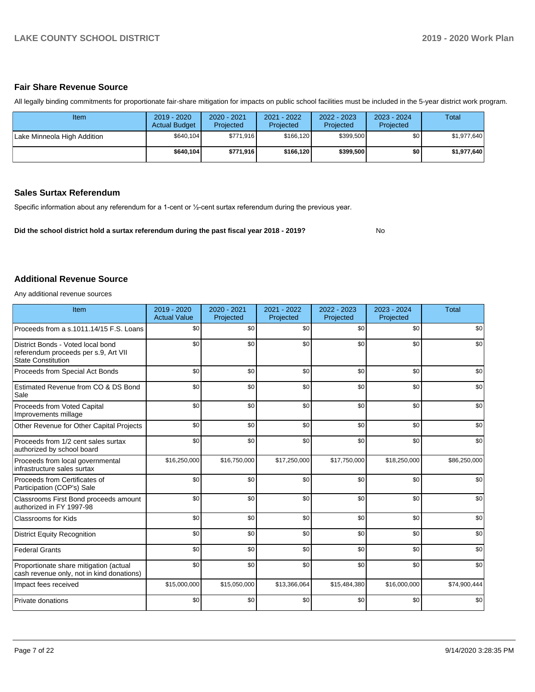# **Fair Share Revenue Source**

All legally binding commitments for proportionate fair-share mitigation for impacts on public school facilities must be included in the 5-year district work program.

| ltem                        | $2019 - 2020$<br><b>Actual Budget</b> | 2020 - 2021<br>Projected | 2021 - 2022<br>Projected | 2022 - 2023<br>Projected | 2023 - 2024<br>Projected | Total       |
|-----------------------------|---------------------------------------|--------------------------|--------------------------|--------------------------|--------------------------|-------------|
| Lake Minneola High Addition | \$640,104                             | \$771,916                | \$166.120                | \$399,500                | \$0                      | \$1,977,640 |
|                             | \$640.104                             | \$771,916                | \$166.120                | \$399,500                | \$0                      | \$1.977.640 |

# **Sales Surtax Referendum**

Specific information about any referendum for a 1-cent or ½-cent surtax referendum during the previous year.

**Did the school district hold a surtax referendum during the past fiscal year 2018 - 2019?**

No

### **Additional Revenue Source**

Any additional revenue sources

| Item                                                                                                   | 2019 - 2020<br><b>Actual Value</b> | $2020 - 2021$<br>Projected | 2021 - 2022<br>Projected | 2022 - 2023<br>Projected | 2023 - 2024<br>Projected | <b>Total</b> |
|--------------------------------------------------------------------------------------------------------|------------------------------------|----------------------------|--------------------------|--------------------------|--------------------------|--------------|
| Proceeds from a s.1011.14/15 F.S. Loans                                                                | \$0                                | \$0                        | \$0                      | \$0                      | \$0                      | \$0          |
| District Bonds - Voted local bond<br>referendum proceeds per s.9, Art VII<br><b>State Constitution</b> | \$0                                | \$0                        | \$0                      | \$0                      | \$0                      | \$0          |
| Proceeds from Special Act Bonds                                                                        | \$0                                | \$0                        | \$0                      | \$0                      | \$0                      | \$0          |
| Estimated Revenue from CO & DS Bond<br>Sale                                                            | \$0                                | \$0                        | \$0                      | \$0                      | \$0                      | \$0          |
| Proceeds from Voted Capital<br>Improvements millage                                                    | \$0                                | \$0                        | \$0                      | \$0                      | \$0                      | \$0          |
| Other Revenue for Other Capital Projects                                                               | \$0                                | \$0                        | \$0                      | \$0                      | \$0                      | \$0          |
| Proceeds from 1/2 cent sales surtax<br>authorized by school board                                      | \$0                                | \$0                        | \$0                      | \$0                      | \$0                      | \$0          |
| Proceeds from local governmental<br>infrastructure sales surtax                                        | \$16,250,000                       | \$16,750,000               | \$17,250,000             | \$17,750,000             | \$18,250,000             | \$86,250,000 |
| Proceeds from Certificates of<br>Participation (COP's) Sale                                            | \$0                                | \$0                        | \$0                      | \$0                      | \$0                      | \$0          |
| Classrooms First Bond proceeds amount<br>authorized in FY 1997-98                                      | \$0                                | \$0                        | \$0                      | \$0                      | \$0                      | \$0          |
| <b>Classrooms for Kids</b>                                                                             | \$0                                | \$0                        | \$0                      | \$0                      | \$0                      | \$0          |
| <b>District Equity Recognition</b>                                                                     | \$0                                | \$0                        | \$0                      | \$0                      | \$0                      | \$0          |
| <b>Federal Grants</b>                                                                                  | \$0                                | \$0                        | \$0                      | \$0                      | \$0                      | \$0          |
| Proportionate share mitigation (actual<br>cash revenue only, not in kind donations)                    | \$0                                | \$0                        | \$0                      | \$0                      | \$0                      | \$0          |
| Impact fees received                                                                                   | \$15,000,000                       | \$15,050,000               | \$13,366,064             | \$15,484,380             | \$16,000,000             | \$74,900,444 |
| Private donations                                                                                      | \$0                                | \$0                        | \$0                      | \$0                      | \$0                      | \$0          |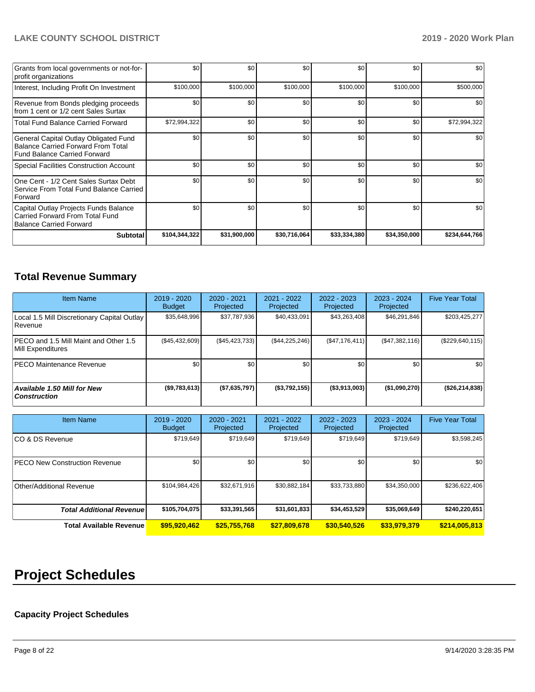| Grants from local governments or not-for-<br>profit organizations                                                         | \$0           | \$0 <sub>1</sub> | \$0          | \$0          | \$0          | \$0           |
|---------------------------------------------------------------------------------------------------------------------------|---------------|------------------|--------------|--------------|--------------|---------------|
| Interest, Including Profit On Investment                                                                                  | \$100,000     | \$100,000        | \$100,000    | \$100,000    | \$100,000    | \$500,000     |
| Revenue from Bonds pledging proceeds<br>from 1 cent or 1/2 cent Sales Surtax                                              | \$0           | \$0 <sub>1</sub> | \$0          | \$0          | \$0          | \$0           |
| <b>Total Fund Balance Carried Forward</b>                                                                                 | \$72,994,322  | \$0              | \$0          | \$0          | \$0          | \$72,994,322  |
| General Capital Outlay Obligated Fund<br><b>Balance Carried Forward From Total</b><br><b>Fund Balance Carried Forward</b> | \$0           | \$0 <sub>1</sub> | \$0          | \$0          | \$0          | \$0           |
| Special Facilities Construction Account                                                                                   | \$0           | \$0 <sub>1</sub> | \$0          | \$0          | \$0          | \$0           |
| One Cent - 1/2 Cent Sales Surtax Debt<br>Service From Total Fund Balance Carried<br>Forward                               | \$0           | \$0              | \$0          | \$0          | \$0          | \$0           |
| Capital Outlay Projects Funds Balance<br>Carried Forward From Total Fund<br><b>Balance Carried Forward</b>                | \$0           | \$0              | \$0          | \$0          | \$0          | \$0           |
| <b>Subtotal</b>                                                                                                           | \$104,344,322 | \$31,900,000     | \$30,716,064 | \$33,334,380 | \$34,350,000 | \$234,644,766 |

# **Total Revenue Summary**

| <b>Item Name</b>                                           | 2019 - 2020<br><b>Budget</b> | 2020 - 2021<br>Projected | 2021 - 2022<br>Projected | $2022 - 2023$<br>Projected | 2023 - 2024<br>Projected | <b>Five Year Total</b> |
|------------------------------------------------------------|------------------------------|--------------------------|--------------------------|----------------------------|--------------------------|------------------------|
| Local 1.5 Mill Discretionary Capital Outlay<br>l Revenue   | \$35,648,996                 | \$37,787,936             | \$40.433.091             | \$43,263,408               | \$46,291,846             | \$203,425,277          |
| PECO and 1.5 Mill Maint and Other 1.5<br>Mill Expenditures | (\$45,432,609)               | (\$45, 423, 733)         | (\$44,225,246)           | (S47, 176, 411)            | (S47, 382, 116)          | (\$229,640,115)        |
| <b>PECO Maintenance Revenue</b>                            | \$0 <sub>1</sub>             | \$0                      | \$0                      | \$0                        | \$0 <sub>1</sub>         | \$0                    |
| Available 1.50 Mill for New<br><b>Construction</b>         | (\$9,783,613)                | (\$7,635,797)            | (\$3,792,155)            | ( \$3,913,003)             | (\$1,090,270)            | (\$26, 214, 838)       |

| <b>Item Name</b>                      | 2019 - 2020<br><b>Budget</b> | 2020 - 2021<br>Projected | 2021 - 2022<br>Projected | 2022 - 2023<br>Projected | 2023 - 2024<br>Projected | <b>Five Year Total</b> |
|---------------------------------------|------------------------------|--------------------------|--------------------------|--------------------------|--------------------------|------------------------|
| ICO & DS Revenue                      | \$719,649                    | \$719,649                | \$719.649                | \$719,649                | \$719,649                | \$3,598,245            |
| <b>IPECO New Construction Revenue</b> | \$0                          | \$0                      | \$0                      | \$0                      | \$0                      | \$0                    |
| Other/Additional Revenue              | \$104,984,426                | \$32,671,916             | \$30,882,184             | \$33,733,880             | \$34,350,000             | \$236,622,406          |
| <b>Total Additional Revenue</b>       | \$105,704,075                | \$33,391,565             | \$31,601,833             | \$34,453,529             | \$35,069,649             | \$240,220,651          |
| <b>Total Available Revenue</b>        | \$95,920,462                 | \$25,755,768             | \$27,809,678             | \$30,540,526             | \$33,979,379             | \$214,005,813          |

# **Project Schedules**

# **Capacity Project Schedules**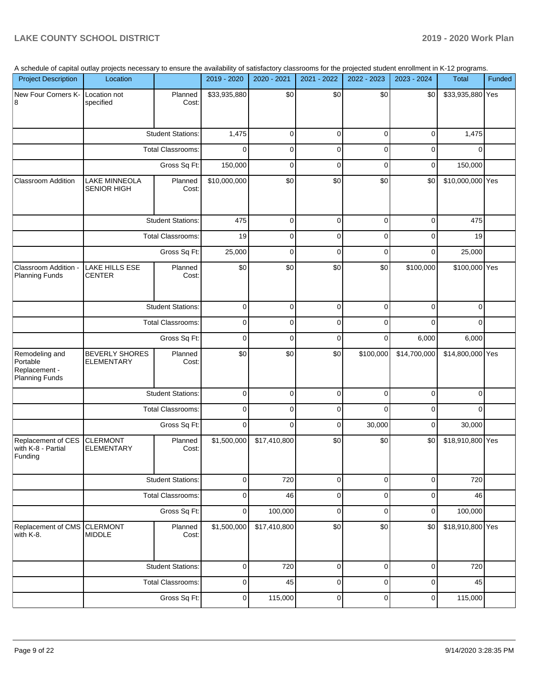|  |  |  | A schedule of capital outlay projects necessary to ensure the availability of satisfactory classrooms for the projected student enrollment in K-12 programs. |  |
|--|--|--|--------------------------------------------------------------------------------------------------------------------------------------------------------------|--|
|  |  |  |                                                                                                                                                              |  |

| <b>Project Description</b>                                           | A scriedule of capital outlay projects necessary to ensure the availability of satisfactory classrooms for the projected student enfollment in K-TZ programs.<br>Location |                          | 2019 - 2020  | 2020 - 2021  | 2021 - 2022 | 2022 - 2023 | 2023 - 2024  | Total            | Funded |
|----------------------------------------------------------------------|---------------------------------------------------------------------------------------------------------------------------------------------------------------------------|--------------------------|--------------|--------------|-------------|-------------|--------------|------------------|--------|
|                                                                      |                                                                                                                                                                           |                          |              |              |             |             |              |                  |        |
| New Four Corners K- Location not<br>8                                | specified                                                                                                                                                                 | Planned<br>Cost:         | \$33,935,880 | \$0          | \$0         | \$0         | \$0          | \$33,935,880 Yes |        |
|                                                                      |                                                                                                                                                                           | <b>Student Stations:</b> | 1,475        | 0            | $\mathbf 0$ | $\mathbf 0$ | $\mathbf 0$  | 1,475            |        |
|                                                                      |                                                                                                                                                                           | Total Classrooms:        | $\Omega$     | 0            | 0           | $\mathbf 0$ | $\mathbf 0$  | $\Omega$         |        |
|                                                                      |                                                                                                                                                                           | Gross Sq Ft:             | 150,000      | 0            | $\mathbf 0$ | $\mathbf 0$ | $\mathbf 0$  | 150,000          |        |
| <b>Classroom Addition</b>                                            | <b>LAKE MINNEOLA</b><br><b>SENIOR HIGH</b>                                                                                                                                | Planned<br>Cost:         | \$10,000,000 | \$0          | \$0         | \$0         | \$0          | \$10,000,000 Yes |        |
|                                                                      |                                                                                                                                                                           | <b>Student Stations:</b> | 475          | $\mathbf 0$  | $\mathbf 0$ | $\mathbf 0$ | $\mathbf 0$  | 475              |        |
|                                                                      |                                                                                                                                                                           | Total Classrooms:        | 19           | 0            | $\mathbf 0$ | $\mathbf 0$ | $\mathbf 0$  | 19               |        |
|                                                                      |                                                                                                                                                                           | Gross Sq Ft:             | 25,000       | 0            | $\mathbf 0$ | $\mathbf 0$ | $\mathbf 0$  | 25,000           |        |
| Classroom Addition -<br><b>Planning Funds</b>                        | LAKE HILLS ESE<br><b>CENTER</b>                                                                                                                                           | Planned<br>Cost:         | \$0          | \$0          | \$0         | \$0         | \$100,000    | \$100,000 Yes    |        |
|                                                                      |                                                                                                                                                                           | <b>Student Stations:</b> | $\mathbf 0$  | 0            | $\mathbf 0$ | $\mathbf 0$ | $\mathbf 0$  | $\mathbf 0$      |        |
|                                                                      |                                                                                                                                                                           | Total Classrooms:        |              | 0            | $\mathbf 0$ | $\mathbf 0$ | $\mathbf 0$  | $\mathbf 0$      |        |
|                                                                      |                                                                                                                                                                           | Gross Sq Ft:             | $\mathbf 0$  | $\mathbf 0$  | $\mathbf 0$ | $\mathbf 0$ | 6,000        | 6,000            |        |
| Remodeling and<br>Portable<br>Replacement -<br><b>Planning Funds</b> | <b>BEVERLY SHORES</b><br>ELEMENTARY                                                                                                                                       | Planned<br>Cost:         | \$0          | \$0          | \$0         | \$100,000   | \$14,700,000 | \$14,800,000 Yes |        |
|                                                                      |                                                                                                                                                                           | <b>Student Stations:</b> | $\mathbf 0$  | $\mathbf 0$  | $\mathbf 0$ | $\mathbf 0$ | $\mathbf 0$  | $\mathbf 0$      |        |
|                                                                      |                                                                                                                                                                           | Total Classrooms:        | $\mathbf 0$  | 0            | $\mathbf 0$ | $\Omega$    | $\mathbf 0$  | $\Omega$         |        |
|                                                                      |                                                                                                                                                                           | Gross Sq Ft:             | $\mathbf 0$  | 0            | 0           | 30,000      | $\mathbf 0$  | 30,000           |        |
| Replacement of CES<br>with K-8 - Partial<br>Funding                  | <b>CLERMONT</b><br><b>ELEMENTARY</b>                                                                                                                                      | Planned<br>Cost:         | \$1,500,000  | \$17,410,800 | \$0         | \$0         | \$0          | \$18,910,800 Yes |        |
|                                                                      |                                                                                                                                                                           | <b>Student Stations:</b> | 0            | 720          | $\mathbf 0$ | $\mathbf 0$ | $\mathbf 0$  | 720              |        |
|                                                                      |                                                                                                                                                                           | Total Classrooms:        | $\pmb{0}$    | 46           | $\mathbf 0$ | $\mathbf 0$ | $\mathbf 0$  | 46               |        |
|                                                                      |                                                                                                                                                                           | Gross Sq Ft:             | 0            | 100,000      | 0           | $\mathbf 0$ | 0            | 100,000          |        |
| Replacement of CMS<br>with K-8.                                      | <b>CLERMONT</b><br><b>MIDDLE</b>                                                                                                                                          | Planned<br>Cost:         | \$1,500,000  | \$17,410,800 | \$0         | \$0         | \$0          | \$18,910,800 Yes |        |
|                                                                      |                                                                                                                                                                           | <b>Student Stations:</b> | $\mathbf 0$  | 720          | $\mathbf 0$ | $\mathbf 0$ | $\mathbf 0$  | 720              |        |
|                                                                      |                                                                                                                                                                           | Total Classrooms:        | $\mathbf 0$  | 45           | $\mathbf 0$ | $\mathbf 0$ | $\mathbf 0$  | 45               |        |
|                                                                      |                                                                                                                                                                           | Gross Sq Ft:             | $\pmb{0}$    | 115,000      | $\pmb{0}$   | $\pmb{0}$   | $\pmb{0}$    | 115,000          |        |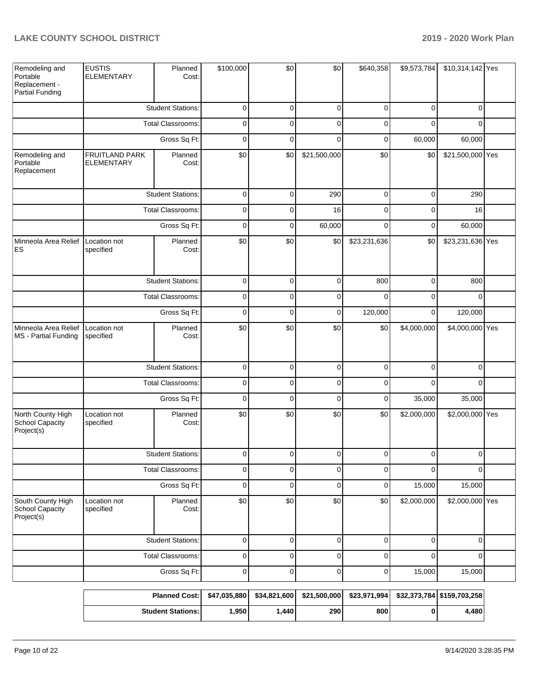| Remodeling and<br>Portable<br>Replacement -<br>Partial Funding | <b>EUSTIS</b><br><b>ELEMENTARY</b>  | Planned<br>Cost:         | \$100,000    | \$0          | \$0          | \$640,358    | \$9,573,784 | \$10,314,142 Yes           |  |
|----------------------------------------------------------------|-------------------------------------|--------------------------|--------------|--------------|--------------|--------------|-------------|----------------------------|--|
|                                                                |                                     | <b>Student Stations:</b> | $\mathbf 0$  | $\mathbf 0$  | $\mathbf 0$  | $\mathbf 0$  | 0           | $\Omega$                   |  |
|                                                                |                                     | Total Classrooms:        | $\mathbf 0$  | $\mathbf 0$  | $\mathbf 0$  | $\Omega$     | $\Omega$    | $\Omega$                   |  |
|                                                                |                                     | Gross Sq Ft:             | $\mathbf 0$  | $\mathbf 0$  | $\mathbf 0$  | $\mathbf 0$  | 60,000      | 60,000                     |  |
| Remodeling and<br>Portable<br>Replacement                      | FRUITLAND PARK<br><b>ELEMENTARY</b> | Planned<br>Cost:         | \$0          | \$0          | \$21,500,000 | \$0          | \$0         | \$21,500,000 Yes           |  |
|                                                                |                                     | <b>Student Stations:</b> | $\mathbf 0$  | $\mathbf 0$  | 290          | $\mathbf 0$  | $\mathbf 0$ | 290                        |  |
|                                                                |                                     | Total Classrooms:        | 0            | $\mathbf 0$  | 16           | $\mathbf 0$  | 0           | 16                         |  |
|                                                                |                                     | Gross Sq Ft:             | $\mathbf 0$  | $\mathbf 0$  | 60,000       | $\Omega$     | 0           | 60,000                     |  |
| Minneola Area Relief<br>ES                                     | Location not<br>specified           | Planned<br>Cost:         | \$0          | \$0          | \$0          | \$23,231,636 | \$0         | \$23,231,636 Yes           |  |
|                                                                |                                     | <b>Student Stations:</b> | $\pmb{0}$    | $\mathbf 0$  | $\pmb{0}$    | 800          | $\mathbf 0$ | 800                        |  |
|                                                                |                                     | <b>Total Classrooms:</b> | $\pmb{0}$    | $\mathbf 0$  | 0            | $\Omega$     | 0           | $\Omega$                   |  |
|                                                                |                                     | Gross Sq Ft:             | $\mathbf 0$  | $\mathbf 0$  | $\pmb{0}$    | 120,000      | $\mathbf 0$ | 120,000                    |  |
| Minneola Area Relief<br>MS - Partial Funding                   | Location not<br>specified           | Planned<br>Cost:         | \$0          | \$0          | \$0          | \$0          | \$4,000,000 | \$4,000,000 Yes            |  |
|                                                                |                                     | <b>Student Stations:</b> | $\pmb{0}$    | $\mathbf 0$  | $\pmb{0}$    | $\mathbf 0$  | 0           | $\Omega$                   |  |
|                                                                |                                     | Total Classrooms:        | 0            | $\mathbf 0$  | 0            | $\mathbf 0$  | $\Omega$    | $\Omega$                   |  |
|                                                                |                                     | Gross Sq Ft:             |              | $\mathbf 0$  | $\mathbf 0$  | $\mathbf 0$  | 35,000      | 35,000                     |  |
| North County High<br>School Capacity<br>Project(s)             | Location not<br>specified           | Planned<br>Cost:         | \$0          | \$0          | \$0          | \$0          | \$2,000,000 | \$2,000,000 Yes            |  |
|                                                                |                                     | <b>Student Stations:</b> | $\mathbf 0$  | $\mathbf 0$  | $\mathbf 0$  | 0            | $\Omega$    | $\Omega$                   |  |
|                                                                |                                     | <b>Total Classrooms:</b> | $\pmb{0}$    | $\mathbf 0$  | $\mathbf 0$  | $\mathbf 0$  | $\Omega$    | $\Omega$                   |  |
|                                                                |                                     | Gross Sq Ft:             | $\pmb{0}$    | $\mathbf 0$  | $\pmb{0}$    | $\mathbf 0$  | 15,000      | 15,000                     |  |
| South County High<br>School Capacity<br>Project(s)             | Location not<br>specified           | Planned<br>Cost:         | \$0          | \$0          | \$0          | \$0          | \$2,000,000 | \$2,000,000 Yes            |  |
|                                                                |                                     | <b>Student Stations:</b> | $\pmb{0}$    | 0            | $\pmb{0}$    | 0            | $\mathbf 0$ | $\mathbf 0$                |  |
|                                                                |                                     | <b>Total Classrooms:</b> | $\pmb{0}$    | 0            | $\pmb{0}$    | 0            | 0           | $\Omega$                   |  |
|                                                                |                                     | Gross Sq Ft:             | $\mathsf 0$  | $\pmb{0}$    | $\pmb{0}$    | $\mathbf 0$  | 15,000      | 15,000                     |  |
|                                                                |                                     | <b>Planned Cost:</b>     | \$47,035,880 | \$34,821,600 | \$21,500,000 | \$23,971,994 |             | \$32,373,784 \$159,703,258 |  |
|                                                                |                                     | <b>Student Stations:</b> | 1,950        | 1,440        | 290          | 800          | 0           | 4,480                      |  |
|                                                                |                                     |                          |              |              |              |              |             |                            |  |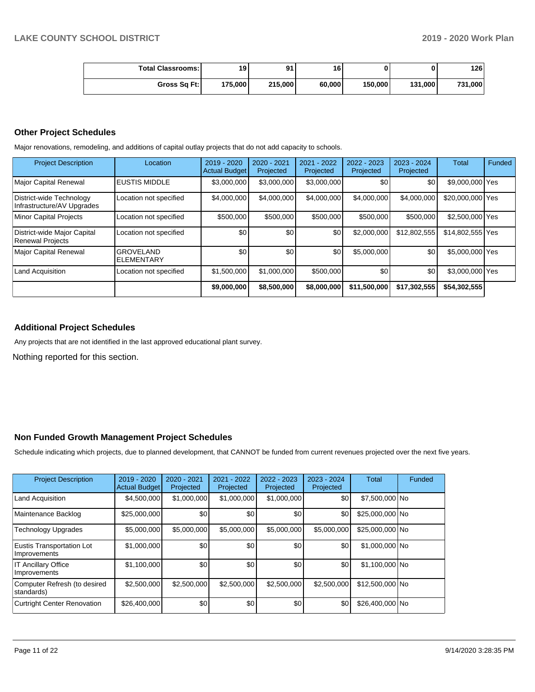| <b>Total Classrooms:</b> | 19      | 0 <sub>1</sub> | 16     |         |         | 126     |
|--------------------------|---------|----------------|--------|---------|---------|---------|
| Gross Sq Ft:             | 175,000 | 215,000        | 60,000 | 150,000 | 131.000 | 731,000 |

### **Other Project Schedules**

Major renovations, remodeling, and additions of capital outlay projects that do not add capacity to schools.

| <b>Project Description</b>                             | Location                               | 2019 - 2020<br><b>Actual Budget</b> | $2020 - 2021$<br>Projected | 2021 - 2022<br>Projected | $2022 - 2023$<br>Projected | $2023 - 2024$<br>Projected | <b>Total</b>     | Funded |
|--------------------------------------------------------|----------------------------------------|-------------------------------------|----------------------------|--------------------------|----------------------------|----------------------------|------------------|--------|
| <b>Major Capital Renewal</b>                           | <b>EUSTIS MIDDLE</b>                   | \$3,000,000                         | \$3,000,000                | \$3,000,000              | \$0                        | \$0                        | \$9,000,000 Yes  |        |
| District-wide Technology<br>Infrastructure/AV Upgrades | Location not specified                 | \$4,000,000                         | \$4,000,000                | \$4,000,000              | \$4,000,000                | \$4,000,000                | \$20,000,000 Yes |        |
| <b>Minor Capital Projects</b>                          | Location not specified                 | \$500,000                           | \$500,000                  | \$500,000                | \$500,000                  | \$500,000                  | \$2,500,000 Yes  |        |
| District-wide Major Capital<br><b>Renewal Projects</b> | Location not specified                 | \$0                                 | \$0                        | \$0                      | \$2,000,000                | \$12,802.555               | \$14,802,555 Yes |        |
| <b>Major Capital Renewal</b>                           | <b>GROVELAND</b><br><b>IELEMENTARY</b> | \$0                                 | \$0                        | \$0 <sub>1</sub>         | \$5,000,000                | \$0                        | \$5,000,000 Yes  |        |
| Land Acquisition                                       | Location not specified                 | \$1,500,000                         | \$1,000,000                | \$500,000                | \$0 <sub>1</sub>           | \$0                        | \$3,000,000 Yes  |        |
|                                                        |                                        | \$9,000,000                         | \$8,500,000                | \$8,000,000              | \$11,500,000               | \$17,302,555               | \$54,302,555     |        |

# **Additional Project Schedules**

Any projects that are not identified in the last approved educational plant survey.

Nothing reported for this section.

### **Non Funded Growth Management Project Schedules**

Schedule indicating which projects, due to planned development, that CANNOT be funded from current revenues projected over the next five years.

| <b>Project Description</b>                 | 2019 - 2020<br><b>Actual Budget</b> | $2020 - 2021$<br>Projected | 2021 - 2022<br>Projected | 2022 - 2023<br>Projected | 2023 - 2024<br>Projected | <b>Total</b>    | Funded |
|--------------------------------------------|-------------------------------------|----------------------------|--------------------------|--------------------------|--------------------------|-----------------|--------|
| <b>Land Acquisition</b>                    | \$4,500,000                         | \$1,000,000                | \$1,000,000              | \$1,000,000              | \$0                      | \$7,500,000 No  |        |
| Maintenance Backlog                        | \$25,000,000                        | \$0                        | \$0 <sub>1</sub>         | \$0                      | \$0                      | \$25,000,000 No |        |
| Technology Upgrades                        | \$5,000,000                         | \$5,000,000                | \$5,000,000              | \$5,000,000              | \$5,000,000              | \$25,000,000 No |        |
| Eustis Transportation Lot<br>Improvements  | \$1,000,000                         | \$0                        | \$0                      | \$0                      | \$0                      | \$1,000,000 No  |        |
| <b>IT Ancillary Office</b><br>Improvements | \$1,100,000                         | \$0 <sub>1</sub>           | \$0                      | \$0                      | \$0                      | \$1,100,000 No  |        |
| Computer Refresh (to desired<br>standards) | \$2,500,000                         | \$2,500,000                | \$2,500,000              | \$2,500,000              | \$2,500,000              | \$12.500.000 No |        |
| <b>Curtright Center Renovation</b>         | \$26,400,000                        | \$0                        | \$0                      | \$0                      | \$0                      | \$26,400,000 No |        |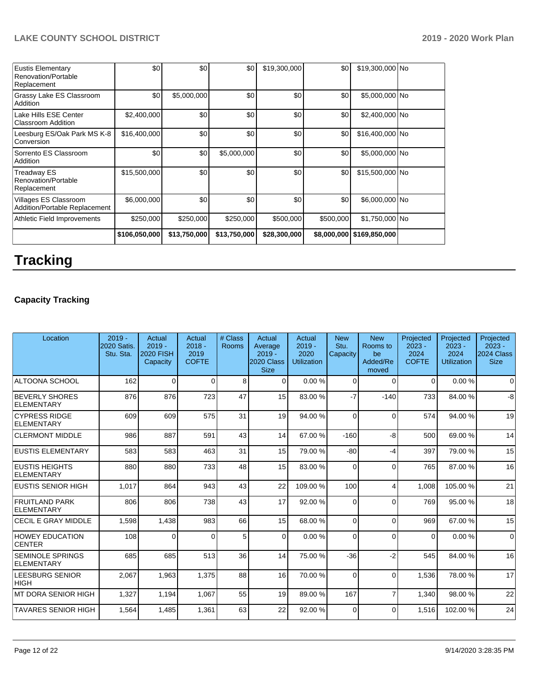| <b>Eustis Elementary</b><br>Renovation/Portable<br>Replacement | \$0           | \$0          | \$0          | \$19,300,000 | \$0         | \$19,300,000 No |  |
|----------------------------------------------------------------|---------------|--------------|--------------|--------------|-------------|-----------------|--|
| Grassy Lake ES Classroom<br>Addition                           | \$0           | \$5,000,000  | \$0          | \$0          | \$0         | \$5,000,000 No  |  |
| Lake Hills ESE Center<br><b>Classroom Addition</b>             | \$2,400,000   | \$0          | \$0          | \$0          | \$0         | \$2,400,000 No  |  |
| Leesburg ES/Oak Park MS K-8<br>Conversion                      | \$16,400,000  | \$0          | \$0          | \$0          | \$0         | \$16,400,000 No |  |
| Sorrento ES Classroom<br>Addition                              | \$0           | \$0          | \$5,000,000  | \$0          | \$0         | \$5,000,000 No  |  |
| <b>Treadway ES</b><br>Renovation/Portable<br>Replacement       | \$15,500,000  | \$0          | \$0          | \$0          | \$0         | \$15,500,000 No |  |
| Villages ES Classroom<br>Addition/Portable Replacement         | \$6,000,000   | \$0          | \$0          | \$0          | \$0         | \$6,000,000 No  |  |
| Athletic Field Improvements                                    | \$250,000     | \$250,000    | \$250,000    | \$500,000    | \$500,000   | \$1,750,000 No  |  |
|                                                                | \$106,050,000 | \$13,750,000 | \$13,750,000 | \$28,300,000 | \$8,000,000 | \$169,850,000   |  |

# **Tracking**

# **Capacity Tracking**

| Location                                   | $2019 -$<br>2020 Satis.<br>Stu. Sta. | Actual<br>$2019 -$<br><b>2020 FISH</b><br>Capacity | Actual<br>$2018 -$<br>2019<br><b>COFTE</b> | # Class<br>Rooms | Actual<br>Average<br>$2019 -$<br>2020 Class<br><b>Size</b> | Actual<br>$2019 -$<br>2020<br><b>Utilization</b> | <b>New</b><br>Stu.<br>Capacity | <b>New</b><br>Rooms to<br>be<br>Added/Re<br>moved | Projected<br>$2023 -$<br>2024<br><b>COFTE</b> | Projected<br>$2023 -$<br>2024<br><b>Utilization</b> | Projected<br>$2023 -$<br>2024 Class<br><b>Size</b> |
|--------------------------------------------|--------------------------------------|----------------------------------------------------|--------------------------------------------|------------------|------------------------------------------------------------|--------------------------------------------------|--------------------------------|---------------------------------------------------|-----------------------------------------------|-----------------------------------------------------|----------------------------------------------------|
| <b>ALTOONA SCHOOL</b>                      | 162                                  | $\Omega$                                           | $\Omega$                                   | 8                | $\Omega$                                                   | 0.00%                                            | $\Omega$                       | $\Omega$                                          | $\Omega$                                      | 0.00%                                               | $\Omega$                                           |
| <b>BEVERLY SHORES</b><br><b>ELEMENTARY</b> | 876                                  | 876                                                | 723                                        | 47               | 15                                                         | 83.00 %                                          | $-7$                           | $-140$                                            | 733                                           | 84.00 %                                             | -8                                                 |
| <b>CYPRESS RIDGE</b><br><b>ELEMENTARY</b>  | 609                                  | 609                                                | 575                                        | 31               | 19                                                         | 94.00 %                                          | $\Omega$                       | $\Omega$                                          | 574                                           | 94.00 %                                             | 19                                                 |
| <b>CLERMONT MIDDLE</b>                     | 986                                  | 887                                                | 591                                        | 43               | 14                                                         | 67.00 %                                          | $-160$                         | $-8$                                              | 500                                           | 69.00 %                                             | 14                                                 |
| <b>EUSTIS ELEMENTARY</b>                   | 583                                  | 583                                                | 463                                        | 31               | 15                                                         | 79.00 %                                          | $-80$                          | $-4$                                              | 397                                           | 79.00 %                                             | 15                                                 |
| <b>IEUSTIS HEIGHTS</b><br>ELEMENTARY       | 880                                  | 880                                                | 733                                        | 48               | 15                                                         | 83.00 %                                          | $\Omega$                       | $\Omega$                                          | 765                                           | 87.00 %                                             | 16                                                 |
| <b>EUSTIS SENIOR HIGH</b>                  | 1,017                                | 864                                                | 943                                        | 43               | 22                                                         | 109.00%                                          | 100                            | $\overline{4}$                                    | 1,008                                         | 105.00%                                             | 21                                                 |
| FRUITLAND PARK<br>ELEMENTARY               | 806                                  | 806                                                | 738                                        | 43               | 17                                                         | 92.00 %                                          | $\Omega$                       | $\Omega$                                          | 769                                           | 95.00 %                                             | 18                                                 |
| <b>CECIL E GRAY MIDDLE</b>                 | 1,598                                | 1,438                                              | 983                                        | 66               | 15                                                         | 68.00 %                                          | $\Omega$                       | $\Omega$                                          | 969                                           | 67.00 %                                             | 15                                                 |
| <b>HOWEY EDUCATION</b><br><b>CENTER</b>    | 108                                  | 0                                                  | $\Omega$                                   | 5                | $\Omega$                                                   | 0.00%                                            | $\Omega$                       | $\Omega$                                          | $\Omega$                                      | 0.00%                                               | $\Omega$                                           |
| <b>SEMINOLE SPRINGS</b><br>ELEMENTARY      | 685                                  | 685                                                | 513                                        | 36               | 14                                                         | 75.00 %                                          | $-36$                          | $-2$                                              | 545                                           | 84.00 %                                             | 16                                                 |
| <b>LEESBURG SENIOR</b><br> HIGH            | 2.067                                | 1.963                                              | 1.375                                      | 88               | 16                                                         | 70.00%                                           | $\Omega$                       | $\Omega$                                          | 1.536                                         | 78.00 %                                             | 17                                                 |
| IMT DORA SENIOR HIGH                       | 1,327                                | 1,194                                              | 1,067                                      | 55               | 19                                                         | 89.00 %                                          | 167                            | 7                                                 | 1,340                                         | 98.00 %                                             | 22                                                 |
| <b>TAVARES SENIOR HIGH</b>                 | 1,564                                | 1,485                                              | 1,361                                      | 63               | 22                                                         | 92.00 %                                          | $\Omega$                       | $\Omega$                                          | 1,516                                         | 102.00%                                             | 24                                                 |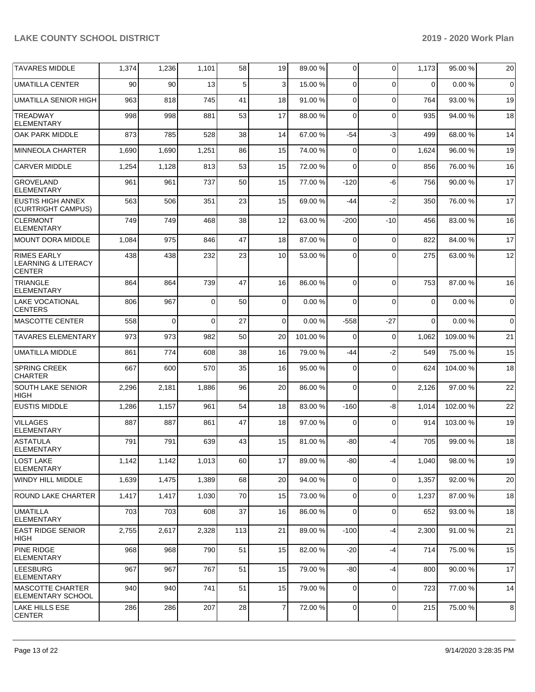| <b>TAVARES MIDDLE</b>                                                 | 1,374 | 1,236 | 1,101    | 58  | 19               | 89.00 %  | $\overline{0}$ | $\Omega$    | 1,173    | 95.00 %  | 20          |
|-----------------------------------------------------------------------|-------|-------|----------|-----|------------------|----------|----------------|-------------|----------|----------|-------------|
| <b>UMATILLA CENTER</b>                                                | 90    | 90    | 13       | 5   | 3                | 15.00 %  | $\Omega$       | $\Omega$    | $\Omega$ | 0.00%    | $\mathbf 0$ |
| UMATILLA SENIOR HIGH                                                  | 963   | 818   | 745      | 41  | 18               | 91.00 %  | $\mathbf 0$    | $\Omega$    | 764      | 93.00 %  | 19          |
| <b>TREADWAY</b><br><b>ELEMENTARY</b>                                  | 998   | 998   | 881      | 53  | 17               | 88.00%   | $\Omega$       | $\Omega$    | 935      | 94.00 %  | 18          |
| OAK PARK MIDDLE                                                       | 873   | 785   | 528      | 38  | 14               | 67.00 %  | $-54$          | $-3$        | 499      | 68.00 %  | 14          |
| <b>MINNEOLA CHARTER</b>                                               | 1,690 | 1,690 | 1,251    | 86  | 15               | 74.00 %  | 0              | $\Omega$    | 1,624    | 96.00 %  | 19          |
| <b>CARVER MIDDLE</b>                                                  | 1,254 | 1,128 | 813      | 53  | 15               | 72.00 %  | 0              | $\Omega$    | 856      | 76.00 %  | 16          |
| <b>GROVELAND</b><br><b>ELEMENTARY</b>                                 | 961   | 961   | 737      | 50  | 15               | 77.00 %  | $-120$         | -6          | 756      | 90.00 %  | 17          |
| EUSTIS HIGH ANNEX<br>(CURTRIGHT CAMPUS)                               | 563   | 506   | 351      | 23  | 15               | 69.00 %  | -44            | $-2$        | 350      | 76.00 %  | 17          |
| <b>CLERMONT</b><br><b>ELEMENTARY</b>                                  | 749   | 749   | 468      | 38  | 12               | 63.00 %  | $-200$         | $-10$       | 456      | 83.00 %  | 16          |
| MOUNT DORA MIDDLE                                                     | 1,084 | 975   | 846      | 47  | 18               | 87.00 %  | $\mathbf 0$    | $\mathbf 0$ | 822      | 84.00%   | 17          |
| <b>RIMES EARLY</b><br><b>LEARNING &amp; LITERACY</b><br><b>CENTER</b> | 438   | 438   | 232      | 23  | 10               | 53.00 %  | 0              | $\Omega$    | 275      | 63.00 %  | 12          |
| <b>TRIANGLE</b><br><b>ELEMENTARY</b>                                  | 864   | 864   | 739      | 47  | 16               | 86.00 %  | $\Omega$       | $\Omega$    | 753      | 87.00 %  | 16          |
| <b>LAKE VOCATIONAL</b><br><b>CENTERS</b>                              | 806   | 967   | $\Omega$ | 50  | $\overline{0}$   | 0.00%    | $\Omega$       | $\Omega$    | $\Omega$ | 0.00%    | $\mathbf 0$ |
| <b>MASCOTTE CENTER</b>                                                | 558   | 0     | 0        | 27  | 0                | 0.00%    | $-558$         | -27         | $\Omega$ | 0.00%    | $\mathbf 0$ |
| <b>TAVARES ELEMENTARY</b>                                             | 973   | 973   | 982      | 50  | 20               | 101.00 % | 0              | $\Omega$    | 1,062    | 109.00 % | 21          |
| <b>UMATILLA MIDDLE</b>                                                | 861   | 774   | 608      | 38  | 16               | 79.00 %  | -44            | $-2$        | 549      | 75.00 %  | 15          |
| <b>SPRING CREEK</b><br><b>CHARTER</b>                                 | 667   | 600   | 570      | 35  | 16               | 95.00 %  | 0              | $\Omega$    | 624      | 104.00%  | 18          |
| <b>SOUTH LAKE SENIOR</b><br><b>HIGH</b>                               | 2,296 | 2,181 | 1,886    | 96  | 20               | 86.00 %  | $\mathbf 0$    | $\Omega$    | 2,126    | 97.00 %  | 22          |
| <b>EUSTIS MIDDLE</b>                                                  | 1,286 | 1,157 | 961      | 54  | 18               | 83.00 %  | $-160$         | -8          | 1,014    | 102.00%  | 22          |
| <b>VILLAGES</b><br><b>ELEMENTARY</b>                                  | 887   | 887   | 861      | 47  | 18               | 97.00 %  | 0              | $\Omega$    | 914      | 103.00%  | 19          |
| <b>ASTATULA</b><br><b>ELEMENTARY</b>                                  | 791   | 791   | 639      | 43  | 15               | 81.00 %  | -80            | -4          | 705      | 99.00 %  | 18          |
| LOST LAKE<br><b>ELEMENTARY</b>                                        | 1,142 | 1,142 | 1,013    | 60  | 17               | 89.00 %  | $-80$          | -4          | 1,040    | 98.00 %  | 19          |
| WINDY HILL MIDDLE                                                     | 1,639 | 1,475 | 1,389    | 68  | 20               | 94.00 %  | $\overline{0}$ | $\mathbf 0$ | 1,357    | 92.00 %  | 20          |
| <b>ROUND LAKE CHARTER</b>                                             | 1,417 | 1,417 | 1,030    | 70  | 15               | 73.00 %  | $\overline{0}$ | $\Omega$    | 1,237    | 87.00 %  | 18          |
| <b>UMATILLA</b><br><b>ELEMENTARY</b>                                  | 703   | 703   | 608      | 37  | 16               | 86.00 %  | $\overline{0}$ | $\mathbf 0$ | 652      | 93.00 %  | 18          |
| <b>EAST RIDGE SENIOR</b><br> HIGH                                     | 2,755 | 2,617 | 2,328    | 113 | 21               | 89.00 %  | $-100$         | -4          | 2,300    | 91.00 %  | 21          |
| <b>PINE RIDGE</b><br><b>ELEMENTARY</b>                                | 968   | 968   | 790      | 51  | 15               | 82.00 %  | $-20$          | $-4$        | 714      | 75.00 %  | 15          |
| <b>LEESBURG</b><br><b>ELEMENTARY</b>                                  | 967   | 967   | 767      | 51  | 15               | 79.00 %  | -80            | -4          | 800      | 90.00 %  | 17          |
| MASCOTTE CHARTER<br><b>ELEMENTARY SCHOOL</b>                          | 940   | 940   | 741      | 51  | 15               | 79.00 %  | 0              | $\mathbf 0$ | 723      | 77.00 %  | 14          |
| LAKE HILLS ESE<br><b>CENTER</b>                                       | 286   | 286   | 207      | 28  | $\boldsymbol{7}$ | 72.00 %  | $\mathbf 0$    | 0           | 215      | 75.00 %  | 8           |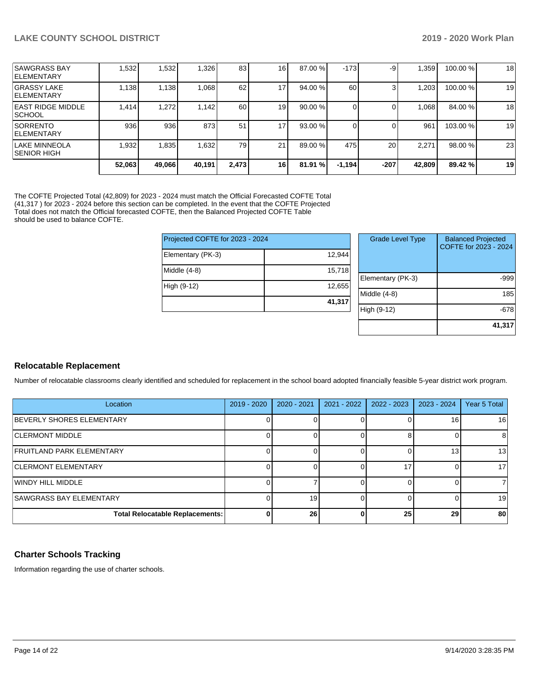|                                            | 52,063 | 49,066 | 40,191 | 2,473 | 16              | 81.91 % | $-1,194$ | $-207$ | 42,809 | 89.42 %  | 19 |
|--------------------------------------------|--------|--------|--------|-------|-----------------|---------|----------|--------|--------|----------|----|
| llake minneola<br>ISENIOR HIGH             | 1,932  | 1,835  | 1,632  | 79    | 21              | 89.00 % | 475      | 20     | 2.271  | 98.00 %  | 23 |
| <b>ISORRENTO</b><br><b>IELEMENTARY</b>     | 936    | 936    | 873    | 51    | 17 <sup>°</sup> | 93.00 % |          |        | 961    | 103.00 % | 19 |
| IEAST RIDGE MIDDLE<br><b>ISCHOOL</b>       | 1.414  | 1,272  | 1.142  | 60    | 19              | 90.00 % |          |        | .068   | 84.00 %  | 18 |
| IGRASSY LAKE<br><b>IELEMENTARY</b>         | 1,138  | 1,138  | 860,1  | 62    | 17'             | 94.00 % | 60       |        | .203   | 100.00 % | 19 |
| <b>ISAWGRASS BAY</b><br><b>IELEMENTARY</b> | .532   | .532   | 1,326  | 83    | 16              | 87.00 % | $-173$   | -9     | .359   | 100.00 % | 18 |

The COFTE Projected Total (42,809) for 2023 - 2024 must match the Official Forecasted COFTE Total (41,317 ) for 2023 - 2024 before this section can be completed. In the event that the COFTE Projected Total does not match the Official forecasted COFTE, then the Balanced Projected COFTE Table should be used to balance COFTE.

| Projected COFTE for 2023 - 2024 |        |
|---------------------------------|--------|
| Elementary (PK-3)               | 12,944 |
| Middle (4-8)                    | 15,718 |
| High (9-12)                     | 12,655 |
|                                 | 41,317 |

| <b>Grade Level Type</b> | <b>Balanced Projected</b><br>COFTE for 2023 - 2024 |
|-------------------------|----------------------------------------------------|
| Elementary (PK-3)       | -999                                               |
| Middle $(4-8)$          | 185                                                |
| High (9-12)             | -678                                               |
|                         | 41,317                                             |

# **Relocatable Replacement**

Number of relocatable classrooms clearly identified and scheduled for replacement in the school board adopted financially feasible 5-year district work program.

| Location                        | 2019 - 2020 | $2020 - 2021$ | 2021 - 2022 | $2022 - 2023$ | $2023 - 2024$   | Year 5 Total |
|---------------------------------|-------------|---------------|-------------|---------------|-----------------|--------------|
| IBEVERLY SHORES ELEMENTARY      |             |               |             |               | 16 <sub>1</sub> | 16           |
| ICLERMONT MIDDLE                |             |               |             |               |                 | 81           |
| FRUITLAND PARK ELEMENTARY       |             |               |             |               | 13.             | 13           |
| <b>CLERMONT ELEMENTARY</b>      |             |               |             |               |                 | 17           |
| WINDY HILL MIDDLE               |             |               |             |               |                 |              |
| <b>SAWGRASS BAY ELEMENTARY</b>  |             | 19            |             |               |                 | 19           |
| Total Relocatable Replacements: | 0           | 26            |             | 25            | 29              | 80           |

# **Charter Schools Tracking**

Information regarding the use of charter schools.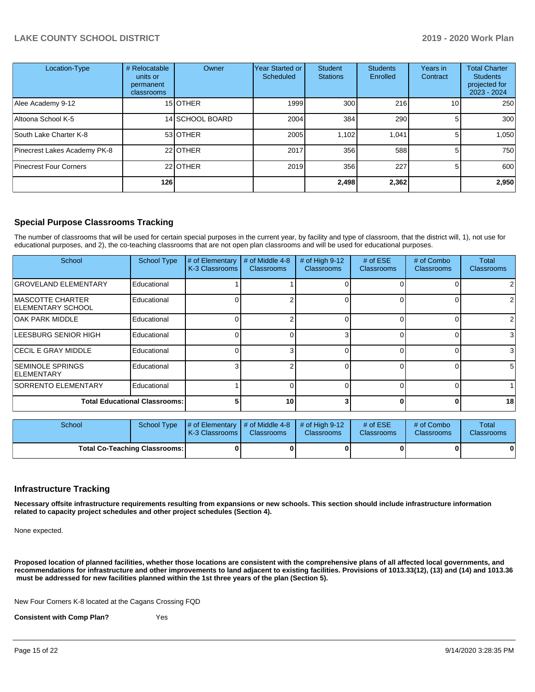| Location-Type                 | # Relocatable<br>units or<br>permanent<br>classrooms | Owner           | <b>Year Started or</b><br>Scheduled | <b>Student</b><br><b>Stations</b> | <b>Students</b><br>Enrolled | Years in<br>Contract | <b>Total Charter</b><br><b>Students</b><br>projected for<br>2023 - 2024 |
|-------------------------------|------------------------------------------------------|-----------------|-------------------------------------|-----------------------------------|-----------------------------|----------------------|-------------------------------------------------------------------------|
| Alee Academy 9-12             |                                                      | 15 OTHER        | 1999                                | 300                               | 216                         | 10.                  | 250                                                                     |
| Altoona School K-5            |                                                      | 14 SCHOOL BOARD | 2004                                | 384                               | 290                         | 5.                   | 300                                                                     |
| South Lake Charter K-8        |                                                      | 53 OTHER        | 2005                                | 1,102                             | 1,041                       | 5                    | 1,050                                                                   |
| Pinecrest Lakes Academy PK-8  |                                                      | 22 OTHER        | 2017                                | 356                               | 588                         | 5                    | 750                                                                     |
| <b>Pinecrest Four Corners</b> |                                                      | 22 OTHER        | 2019                                | 356                               | 227                         | 5                    | 600                                                                     |
|                               | 126                                                  |                 |                                     | 2,498                             | 2,362                       |                      | 2,950                                                                   |

# **Special Purpose Classrooms Tracking**

The number of classrooms that will be used for certain special purposes in the current year, by facility and type of classroom, that the district will, 1), not use for educational purposes, and 2), the co-teaching classrooms that are not open plan classrooms and will be used for educational purposes.

| School                                         | <b>School Type</b> | # of Elementary<br>K-3 Classrooms | # of Middle 4-8<br><b>Classrooms</b> | # of High 9-12<br><b>Classrooms</b> | # of $ESE$<br><b>Classrooms</b> | # of Combo<br><b>Classrooms</b> | Total<br><b>Classrooms</b> |
|------------------------------------------------|--------------------|-----------------------------------|--------------------------------------|-------------------------------------|---------------------------------|---------------------------------|----------------------------|
| <b>GROVELAND ELEMENTARY</b>                    | Educational        |                                   |                                      |                                     |                                 |                                 |                            |
| IMASCOTTE CHARTER<br><b>IELEMENTARY SCHOOL</b> | Educational        |                                   |                                      |                                     |                                 | 0                               | $\overline{2}$             |
| <b>OAK PARK MIDDLE</b>                         | Educational        |                                   |                                      |                                     |                                 | 0                               | $\overline{2}$             |
| LEESBURG SENIOR HIGH                           | Educational        |                                   | 0                                    |                                     |                                 | $\Omega$                        | 3                          |
| <b>CECIL E GRAY MIDDLE</b>                     | Educational        |                                   | 3                                    |                                     |                                 | $\Omega$                        | $\mathbf{3}$               |
| <b>SEMINOLE SPRINGS</b><br><b>ELEMENTARY</b>   | Educational        |                                   | n                                    |                                     |                                 | 0                               | 5 <sup>1</sup>             |
| <b>SORRENTO ELEMENTARY</b>                     | Educational        |                                   |                                      |                                     |                                 | 0                               |                            |
| <b>Total Educational Classrooms:</b>           |                    |                                   | 10 <sup>1</sup>                      |                                     |                                 | $\Omega$                        | 18                         |

| School                               |  | School Type $\frac{1}{4}$ of Elementary $\frac{1}{4}$ of Middle 4-8 $\frac{1}{4}$ of High 9-12<br><b>K-3 Classrooms I</b> | <b>Classrooms</b> | <b>Classrooms</b> | # of $ESE$<br><b>Classrooms</b> | # of Combo<br><b>Classrooms</b> | Total<br><b>Classrooms</b> |
|--------------------------------------|--|---------------------------------------------------------------------------------------------------------------------------|-------------------|-------------------|---------------------------------|---------------------------------|----------------------------|
| <b>Total Co-Teaching Classrooms:</b> |  |                                                                                                                           |                   |                   |                                 |                                 | 0                          |

### **Infrastructure Tracking**

**Necessary offsite infrastructure requirements resulting from expansions or new schools. This section should include infrastructure information related to capacity project schedules and other project schedules (Section 4).** 

None expected.

**Proposed location of planned facilities, whether those locations are consistent with the comprehensive plans of all affected local governments, and recommendations for infrastructure and other improvements to land adjacent to existing facilities. Provisions of 1013.33(12), (13) and (14) and 1013.36 must be addressed for new facilities planned within the 1st three years of the plan (Section 5).** 

New Four Corners K-8 located at the Cagans Crossing FQD

**Consistent with Comp Plan?** Yes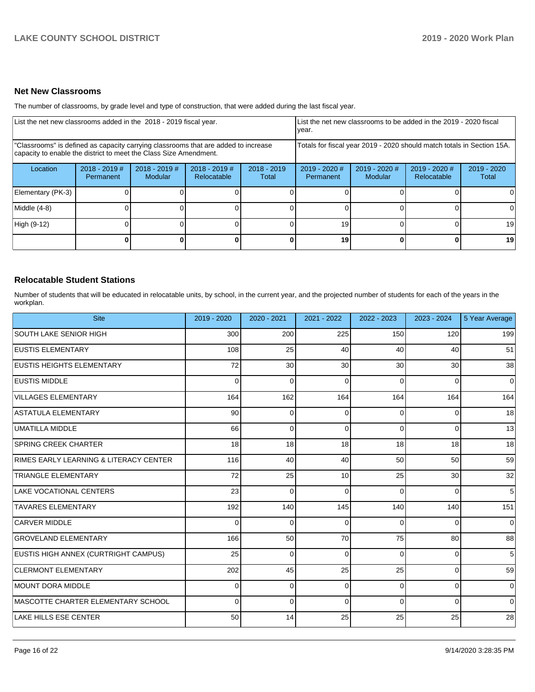### **Net New Classrooms**

The number of classrooms, by grade level and type of construction, that were added during the last fiscal year.

| List the net new classrooms added in the 2018 - 2019 fiscal year.                                                                                       |                              |                                   |                                |                        | List the net new classrooms to be added in the 2019 - 2020 fiscal<br>vear. |                          |                              |                      |  |
|---------------------------------------------------------------------------------------------------------------------------------------------------------|------------------------------|-----------------------------------|--------------------------------|------------------------|----------------------------------------------------------------------------|--------------------------|------------------------------|----------------------|--|
| "Classrooms" is defined as capacity carrying classrooms that are added to increase<br>capacity to enable the district to meet the Class Size Amendment. |                              |                                   |                                |                        | Totals for fiscal year 2019 - 2020 should match totals in Section 15A.     |                          |                              |                      |  |
| Location                                                                                                                                                | $2018 - 2019$ #<br>Permanent | $2018 - 2019$ #<br><b>Modular</b> | $2018 - 2019$ #<br>Relocatable | $2018 - 2019$<br>Total | 2019 - 2020 #<br>Permanent                                                 | 2019 - 2020 #<br>Modular | 2019 - 2020 #<br>Relocatable | 2019 - 2020<br>Total |  |
| Elementary (PK-3)                                                                                                                                       |                              |                                   |                                |                        |                                                                            |                          |                              |                      |  |
| Middle (4-8)                                                                                                                                            |                              |                                   |                                |                        |                                                                            |                          |                              | ΟI                   |  |
| High (9-12)                                                                                                                                             |                              |                                   |                                |                        | 19                                                                         |                          |                              | 19                   |  |
|                                                                                                                                                         |                              |                                   |                                | 0                      | 19                                                                         |                          | 0                            | 19 <sup>l</sup>      |  |

### **Relocatable Student Stations**

Number of students that will be educated in relocatable units, by school, in the current year, and the projected number of students for each of the years in the workplan.

| <b>Site</b>                            | 2019 - 2020 | $2020 - 2021$ | 2021 - 2022 | 2022 - 2023 | 2023 - 2024 | 5 Year Average |
|----------------------------------------|-------------|---------------|-------------|-------------|-------------|----------------|
| SOUTH LAKE SENIOR HIGH                 | 300         | 200           | 225         | 150         | 120         | 199            |
| <b>EUSTIS ELEMENTARY</b>               | 108         | 25            | 40          | 40          | 40          | 51             |
| <b>EUSTIS HEIGHTS ELEMENTARY</b>       | 72          | 30            | 30          | 30          | 30          | 38             |
| <b>EUSTIS MIDDLE</b>                   | 0           | 0             | $\Omega$    | $\Omega$    | $\Omega$    | $\overline{0}$ |
| <b>VILLAGES ELEMENTARY</b>             | 164         | 162           | 164         | 164         | 164         | 164            |
| ASTATULA ELEMENTARY                    | 90          | $\mathbf 0$   | $\Omega$    | 0           | 0           | 18             |
| UMATILLA MIDDLE                        | 66          | $\Omega$      | $\Omega$    | $\Omega$    | $\Omega$    | 13             |
| <b>SPRING CREEK CHARTER</b>            | 18          | 18            | 18          | 18          | 18          | 18             |
| RIMES EARLY LEARNING & LITERACY CENTER | 116         | 40            | 40          | 50          | 50          | 59             |
| <b>TRIANGLE ELEMENTARY</b>             | 72          | 25            | 10          | 25          | 30          | 32             |
| LAKE VOCATIONAL CENTERS                | 23          | 0             | $\Omega$    | $\Omega$    | $\Omega$    | 5 <sup>1</sup> |
| <b>TAVARES ELEMENTARY</b>              | 192         | 140           | 145         | 140         | 140         | 151            |
| <b>CARVER MIDDLE</b>                   | 0           | $\mathbf 0$   | 0           | $\Omega$    | $\Omega$    | $\overline{0}$ |
| <b>GROVELAND ELEMENTARY</b>            | 166         | 50            | 70          | 75          | 80          | 88             |
| EUSTIS HIGH ANNEX (CURTRIGHT CAMPUS)   | 25          | $\Omega$      | $\Omega$    | $\Omega$    | $\Omega$    | 5              |
| <b>CLERMONT ELEMENTARY</b>             | 202         | 45            | 25          | 25          | $\Omega$    | 59             |
| MOUNT DORA MIDDLE                      | 0           | $\Omega$      | $\Omega$    | $\Omega$    | $\Omega$    | $\Omega$       |
| IMASCOTTE CHARTER ELEMENTARY SCHOOL    | 0           | $\mathbf 0$   | $\Omega$    | $\Omega$    | 0           | $\overline{0}$ |
| LAKE HILLS ESE CENTER                  | 50          | 14            | 25          | 25          | 25          | 28             |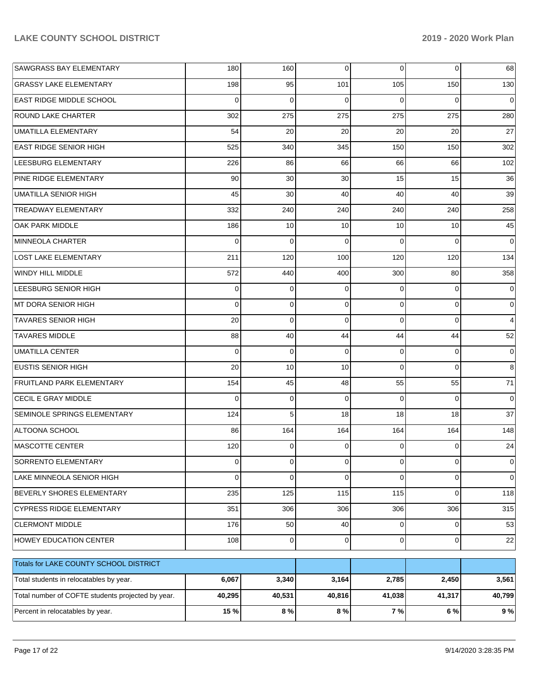| SAWGRASS BAY ELEMENTARY                           | 180         | 160            | 0           | $\overline{0}$ | 0           | 68          |
|---------------------------------------------------|-------------|----------------|-------------|----------------|-------------|-------------|
| <b>GRASSY LAKE ELEMENTARY</b>                     | 198         | 95             | 101         | 105            | 150         | 130         |
| <b>EAST RIDGE MIDDLE SCHOOL</b>                   | $\mathbf 0$ | $\Omega$       | $\Omega$    | $\Omega$       | $\Omega$    | $\mathbf 0$ |
| <b>ROUND LAKE CHARTER</b>                         | 302         | 275            | 275         | 275            | 275         | 280         |
| UMATILLA ELEMENTARY                               | 54          | 20             | 20          | 20             | 20          | 27          |
| <b>EAST RIDGE SENIOR HIGH</b>                     | 525         | 340            | 345         | 150            | 150         | 302         |
| LEESBURG ELEMENTARY                               | 226         | 86             | 66          | 66             | 66          | 102         |
| <b>PINE RIDGE ELEMENTARY</b>                      | 90          | 30             | 30          | 15             | 15          | 36          |
| UMATILLA SENIOR HIGH                              | 45          | 30             | 40          | 40             | 40          | 39          |
| TREADWAY ELEMENTARY                               | 332         | 240            | 240         | 240            | 240         | 258         |
| <b>OAK PARK MIDDLE</b>                            | 186         | 10             | 10          | 10             | 10          | 45          |
| MINNEOLA CHARTER                                  | $\mathbf 0$ | $\mathbf 0$    | $\Omega$    | $\Omega$       | $\Omega$    | $\mathbf 0$ |
| LOST LAKE ELEMENTARY                              | 211         | 120            | 100         | 120            | 120         | 134         |
| WINDY HILL MIDDLE                                 | 572         | 440            | 400         | 300            | 80          | 358         |
| LEESBURG SENIOR HIGH                              | 0           | 0              | $\Omega$    | $\Omega$       | $\Omega$    | $\mathbf 0$ |
| MT DORA SENIOR HIGH                               | $\mathbf 0$ | $\mathbf 0$    | $\Omega$    | $\Omega$       | $\mathbf 0$ | $\mathbf 0$ |
| <b>TAVARES SENIOR HIGH</b>                        | 20          | $\mathbf 0$    | $\Omega$    | $\Omega$       | $\Omega$    | 4           |
| <b>TAVARES MIDDLE</b>                             | 88          | 40             | 44          | 44             | 44          | 52          |
| UMATILLA CENTER                                   | $\mathbf 0$ | $\mathbf 0$    | $\Omega$    | $\Omega$       | $\Omega$    | $\mathbf 0$ |
| <b>EUSTIS SENIOR HIGH</b>                         | 20          | 10             | 10          | $\Omega$       | $\Omega$    | 8           |
| <b>FRUITLAND PARK ELEMENTARY</b>                  | 154         | 45             | 48          | 55             | 55          | 71          |
| <b>CECIL E GRAY MIDDLE</b>                        | $\mathbf 0$ | $\mathbf 0$    | $\Omega$    | $\Omega$       | $\Omega$    | $\mathbf 0$ |
| <b>SEMINOLE SPRINGS ELEMENTARY</b>                | 124         | 5              | 18          | 18             | 18          | 37          |
| ALTOONA SCHOOL                                    | 86          | 164            | 164         | 164            | 164         | 148         |
| MASCOTTE CENTER                                   | 120         | 0              | $\Omega$    | $\Omega$       | $\Omega$    | 24          |
| SORRENTO ELEMENTARY                               | $\mathbf 0$ | $\overline{0}$ | $\mathbf 0$ | $\overline{0}$ | 0           | 0           |
| LAKE MINNEOLA SENIOR HIGH                         | 0           | 0              | $\Omega$    | $\Omega$       | 0           | $\mathbf 0$ |
| <b>BEVERLY SHORES ELEMENTARY</b>                  | 235         | 125            | 115         | 115            | 0           | 118         |
| <b>CYPRESS RIDGE ELEMENTARY</b>                   | 351         | 306            | 306         | 306            | 306         | 315         |
| <b>CLERMONT MIDDLE</b>                            | 176         | 50             | 40          | $\overline{0}$ | 0           | 53          |
| <b>HOWEY EDUCATION CENTER</b>                     | 108         | $\overline{0}$ | 0           | $\overline{0}$ | $\mathbf 0$ | 22          |
| Totals for LAKE COUNTY SCHOOL DISTRICT            |             |                |             |                |             |             |
| Total students in relocatables by year.           | 6,067       | 3,340          | 3,164       | 2,785          | 2,450       | 3,561       |
| Total number of COFTE students projected by year. | 40,295      | 40,531         | 40,816      | 41,038         | 41,317      | 40,799      |
| Percent in relocatables by year.                  | 15 %        | 8 %            | $8\ \%$     | 7%             | 6 %         | 9%          |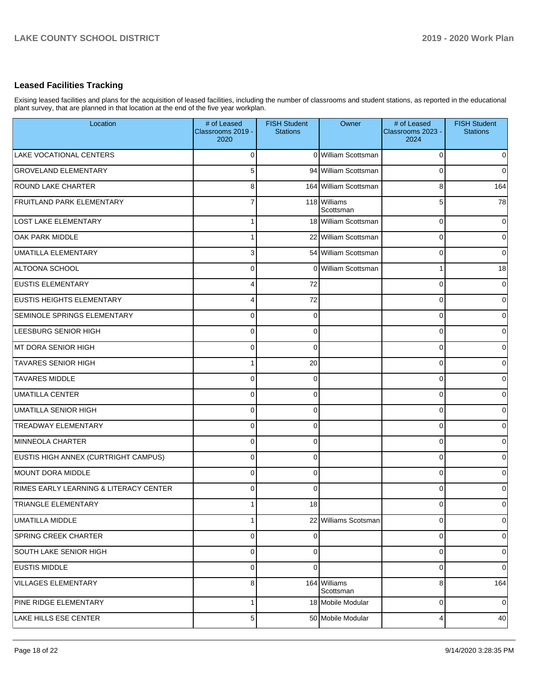# **Leased Facilities Tracking**

Exising leased facilities and plans for the acquisition of leased facilities, including the number of classrooms and student stations, as reported in the educational plant survey, that are planned in that location at the end of the five year workplan.

| Location                               | # of Leased<br>Classrooms 2019 -<br>2020 | <b>FISH Student</b><br><b>Stations</b> | Owner                     | # of Leased<br>Classrooms 2023 -<br>2024 | <b>FISH Student</b><br><b>Stations</b> |
|----------------------------------------|------------------------------------------|----------------------------------------|---------------------------|------------------------------------------|----------------------------------------|
| LAKE VOCATIONAL CENTERS                | $\Omega$                                 |                                        | 0 William Scottsman       | $\Omega$                                 | $\overline{0}$                         |
| <b>GROVELAND ELEMENTARY</b>            | 5 <sup>1</sup>                           |                                        | 94 William Scottsman      | $\Omega$                                 | $\overline{0}$                         |
| <b>ROUND LAKE CHARTER</b>              | 8                                        |                                        | 164 William Scottsman     | 8                                        | 164                                    |
| <b>FRUITLAND PARK ELEMENTARY</b>       | $\overline{7}$                           |                                        | 118 Williams<br>Scottsman | 5                                        | 78                                     |
| <b>LOST LAKE ELEMENTARY</b>            | $\mathbf{1}$                             |                                        | 18 William Scottsman      | $\mathbf 0$                              | $\mathbf 0$                            |
| <b>OAK PARK MIDDLE</b>                 | $\mathbf{1}$                             |                                        | 22 William Scottsman      | $\Omega$                                 | $\overline{0}$                         |
| <b>UMATILLA ELEMENTARY</b>             | $\overline{3}$                           |                                        | 54 William Scottsman      | $\Omega$                                 | $\mathbf 0$                            |
| ALTOONA SCHOOL                         | $\Omega$                                 |                                        | 0 William Scottsman       | 1                                        | 18                                     |
| <b>EUSTIS ELEMENTARY</b>               | 4                                        | 72                                     |                           | $\Omega$                                 | $\mathbf 0$                            |
| <b>EUSTIS HEIGHTS ELEMENTARY</b>       | 4                                        | 72                                     |                           | $\Omega$                                 | $\overline{0}$                         |
| SEMINOLE SPRINGS ELEMENTARY            | $\mathbf 0$                              | $\overline{0}$                         |                           | $\Omega$                                 | $\overline{0}$                         |
| LEESBURG SENIOR HIGH                   | $\Omega$                                 | $\overline{0}$                         |                           | $\Omega$                                 | $\overline{0}$                         |
| MT DORA SENIOR HIGH                    | $\Omega$                                 | $\Omega$                               |                           | $\Omega$                                 | $\overline{0}$                         |
| <b>TAVARES SENIOR HIGH</b>             | $\mathbf{1}$                             | 20                                     |                           | $\Omega$                                 | $\overline{0}$                         |
| <b>TAVARES MIDDLE</b>                  | $\Omega$                                 | $\Omega$                               |                           | $\Omega$                                 | $\overline{0}$                         |
| <b>UMATILLA CENTER</b>                 | $\Omega$                                 | $\Omega$                               |                           | $\Omega$                                 | $\overline{0}$                         |
| <b>UMATILLA SENIOR HIGH</b>            | $\Omega$                                 | $\overline{0}$                         |                           | $\Omega$                                 | $\overline{0}$                         |
| <b>TREADWAY ELEMENTARY</b>             | $\Omega$                                 | $\overline{0}$                         |                           | $\Omega$                                 | $\overline{0}$                         |
| MINNEOLA CHARTER                       | $\Omega$                                 | $\overline{0}$                         |                           | $\Omega$                                 | $\overline{0}$                         |
| EUSTIS HIGH ANNEX (CURTRIGHT CAMPUS)   | $\Omega$                                 | $\overline{0}$                         |                           | $\Omega$                                 | $\overline{0}$                         |
| MOUNT DORA MIDDLE                      | $\Omega$                                 | $\overline{0}$                         |                           | $\Omega$                                 | $\overline{0}$                         |
| RIMES EARLY LEARNING & LITERACY CENTER | $\Omega$                                 | $\Omega$                               |                           | $\Omega$                                 | $\overline{0}$                         |
| TRIANGLE ELEMENTARY                    | $\mathbf{1}$                             | 18                                     |                           | $\Omega$                                 | $\overline{0}$                         |
| <b>UMATILLA MIDDLE</b>                 | $\mathbf{1}$                             |                                        | 22 Williams Scotsman      | $\mathbf 0$                              | $\mathbf 0$                            |
| SPRING CREEK CHARTER                   | $\overline{0}$                           | $\overline{0}$                         |                           | $\mathbf 0$                              | $\overline{0}$                         |
| SOUTH LAKE SENIOR HIGH                 | $\overline{0}$                           | $\overline{0}$                         |                           | $\mathbf 0$                              | $\mathbf 0$                            |
| <b>EUSTIS MIDDLE</b>                   | $\overline{0}$                           | $\overline{0}$                         |                           | $\mathbf 0$                              | $\mathbf 0$                            |
| VILLAGES ELEMENTARY                    | 8                                        |                                        | 164 Williams<br>Scottsman | 8                                        | 164                                    |
| PINE RIDGE ELEMENTARY                  | 1                                        |                                        | 18 Mobile Modular         | $\mathbf 0$                              | $\mathbf 0$                            |
| LAKE HILLS ESE CENTER                  | 5                                        |                                        | 50 Mobile Modular         | $\overline{4}$                           | 40                                     |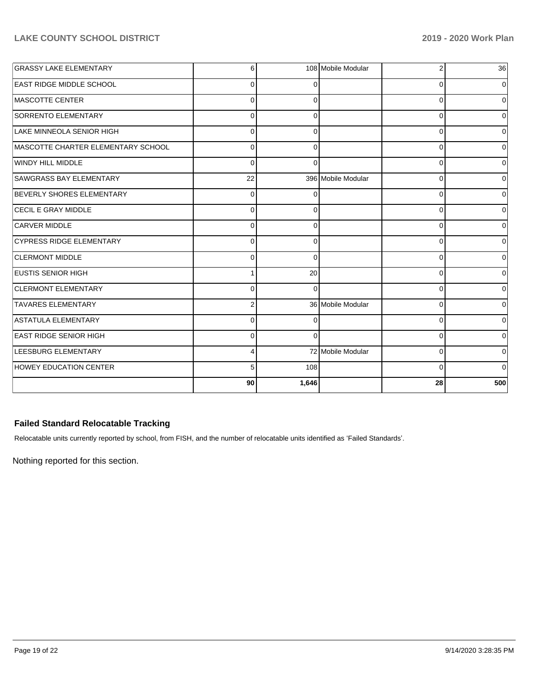| <b>GRASSY LAKE ELEMENTARY</b>      | 6              |          | 108 Mobile Modular | 2        | 36             |
|------------------------------------|----------------|----------|--------------------|----------|----------------|
| <b>EAST RIDGE MIDDLE SCHOOL</b>    | $\Omega$       |          |                    | 0        | 0              |
| MASCOTTE CENTER                    | $\Omega$       | 0        |                    | 0        | 0              |
| SORRENTO ELEMENTARY                | $\Omega$       | ∩        |                    | 0        | 0              |
| LAKE MINNEOLA SENIOR HIGH          | 0              |          |                    | 0        | 0              |
| MASCOTTE CHARTER ELEMENTARY SCHOOL | $\Omega$       | $\Omega$ |                    | $\Omega$ | $\Omega$       |
| WINDY HILL MIDDLE                  | $\Omega$       | ∩        |                    | 0        | 0              |
| <b>SAWGRASS BAY ELEMENTARY</b>     | 22             |          | 396 Mobile Modular | 0        | $\Omega$       |
| BEVERLY SHORES ELEMENTARY          | $\Omega$       |          |                    | $\Omega$ | $\mathbf 0$    |
| <b>CECIL E GRAY MIDDLE</b>         | $\Omega$       |          |                    | 0        | 0              |
| <b>CARVER MIDDLE</b>               | $\Omega$       | $\Omega$ |                    | $\Omega$ | $\Omega$       |
| <b>CYPRESS RIDGE ELEMENTARY</b>    | $\Omega$       | 0        |                    | 0        | ٥I             |
| <b>CLERMONT MIDDLE</b>             | $\Omega$       | $\Omega$ |                    | 0        | 0              |
| <b>EUSTIS SENIOR HIGH</b>          |                | 20       |                    | 0        | $\overline{0}$ |
| <b>CLERMONT ELEMENTARY</b>         | $\Omega$       | ∩        |                    | 0        | 0              |
| <b>TAVARES ELEMENTARY</b>          | $\overline{2}$ |          | 36 Mobile Modular  | 0        | $\Omega$       |
| ASTATULA ELEMENTARY                | $\Omega$       | O        |                    | $\Omega$ | 0              |
| <b>EAST RIDGE SENIOR HIGH</b>      | $\Omega$       | 0        |                    | 0        | 0              |
| <b>LEESBURG ELEMENTARY</b>         | 4              |          | 72 Mobile Modular  | 0        | $\overline{0}$ |
| <b>HOWEY EDUCATION CENTER</b>      | 5              | 108      |                    | $\Omega$ | 0              |
|                                    | 90             | 1,646    |                    | 28       | 500            |

# **Failed Standard Relocatable Tracking**

Relocatable units currently reported by school, from FISH, and the number of relocatable units identified as 'Failed Standards'.

Nothing reported for this section.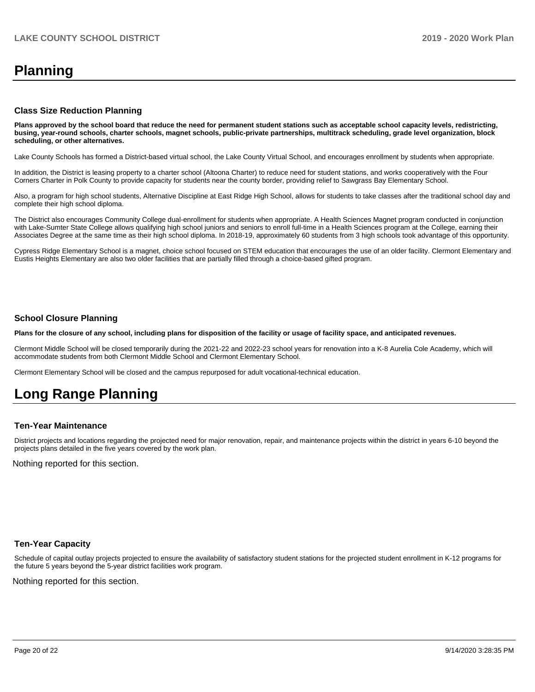# **Planning**

### **Class Size Reduction Planning**

**Plans approved by the school board that reduce the need for permanent student stations such as acceptable school capacity levels, redistricting, busing, year-round schools, charter schools, magnet schools, public-private partnerships, multitrack scheduling, grade level organization, block scheduling, or other alternatives.**

Lake County Schools has formed a District-based virtual school, the Lake County Virtual School, and encourages enrollment by students when appropriate.

In addition, the District is leasing property to a charter school (Altoona Charter) to reduce need for student stations, and works cooperatively with the Four Corners Charter in Polk County to provide capacity for students near the county border, providing relief to Sawgrass Bay Elementary School.

Also, a program for high school students, Alternative Discipline at East Ridge High School, allows for students to take classes after the traditional school day and complete their high school diploma.

The District also encourages Community College dual-enrollment for students when appropriate. A Health Sciences Magnet program conducted in conjunction with Lake-Sumter State College allows qualifying high school juniors and seniors to enroll full-time in a Health Sciences program at the College, earning their Associates Degree at the same time as their high school diploma. In 2018-19, approximately 60 students from 3 high schools took advantage of this opportunity.

Cypress Ridge Elementary School is a magnet, choice school focused on STEM education that encourages the use of an older facility. Clermont Elementary and Eustis Heights Elementary are also two older facilities that are partially filled through a choice-based gifted program.

### **School Closure Planning**

**Plans for the closure of any school, including plans for disposition of the facility or usage of facility space, and anticipated revenues.** 

Clermont Middle School will be closed temporarily during the 2021-22 and 2022-23 school years for renovation into a K-8 Aurelia Cole Academy, which will accommodate students from both Clermont Middle School and Clermont Elementary School.

Clermont Elementary School will be closed and the campus repurposed for adult vocational-technical education.

# **Long Range Planning**

### **Ten-Year Maintenance**

District projects and locations regarding the projected need for major renovation, repair, and maintenance projects within the district in years 6-10 beyond the projects plans detailed in the five years covered by the work plan.

Nothing reported for this section.

### **Ten-Year Capacity**

Schedule of capital outlay projects projected to ensure the availability of satisfactory student stations for the projected student enrollment in K-12 programs for the future 5 years beyond the 5-year district facilities work program.

Nothing reported for this section.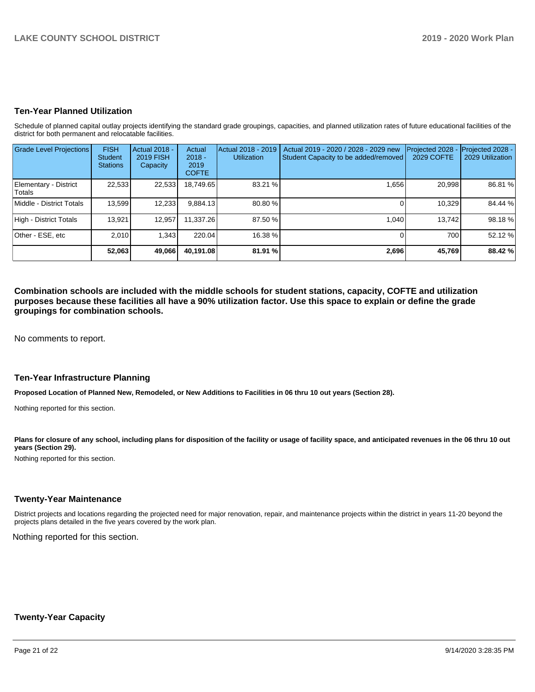### **Ten-Year Planned Utilization**

Schedule of planned capital outlay projects identifying the standard grade groupings, capacities, and planned utilization rates of future educational facilities of the district for both permanent and relocatable facilities.

| <b>Grade Level Projections</b>         | <b>FISH</b><br><b>Student</b><br><b>Stations</b> | Actual 2018 -<br><b>2019 FISH</b><br>Capacity | Actual<br>$2018 -$<br>2019<br><b>COFTE</b> | Actual 2018 - 2019<br><b>Utilization</b> | Actual 2019 - 2020 / 2028 - 2029 new<br>Student Capacity to be added/removed | Projected 2028<br>2029 COFTE | Projected 2028 -<br>2029 Utilization |
|----------------------------------------|--------------------------------------------------|-----------------------------------------------|--------------------------------------------|------------------------------------------|------------------------------------------------------------------------------|------------------------------|--------------------------------------|
| Elementary - District<br><b>Totals</b> | 22,533                                           | 22,533                                        | 18,749.65                                  | 83.21 %                                  | 1,656                                                                        | 20,998                       | 86.81 %                              |
| Middle - District Totals               | 13,599                                           | 12,233                                        | 9,884.13                                   | 80.80 %                                  |                                                                              | 10,329                       | 84.44 %                              |
| High - District Totals                 | 13.921                                           | 12.957                                        | 11.337.26                                  | 87.50 %                                  | 1.040                                                                        | 13.742                       | 98.18%                               |
| Other - ESE, etc                       | 2.010                                            | 1.343                                         | 220.04                                     | 16.38 %                                  |                                                                              | 700                          | 52.12 %                              |
|                                        | 52,063                                           | 49,066                                        | 40.191.08                                  | 81.91 %                                  | 2,696                                                                        | 45,769                       | 88.42 %                              |

**Combination schools are included with the middle schools for student stations, capacity, COFTE and utilization purposes because these facilities all have a 90% utilization factor. Use this space to explain or define the grade groupings for combination schools.** 

No comments to report.

### **Ten-Year Infrastructure Planning**

**Proposed Location of Planned New, Remodeled, or New Additions to Facilities in 06 thru 10 out years (Section 28).**

Nothing reported for this section.

Plans for closure of any school, including plans for disposition of the facility or usage of facility space, and anticipated revenues in the 06 thru 10 out **years (Section 29).**

Nothing reported for this section.

### **Twenty-Year Maintenance**

District projects and locations regarding the projected need for major renovation, repair, and maintenance projects within the district in years 11-20 beyond the projects plans detailed in the five years covered by the work plan.

Nothing reported for this section.

### **Twenty-Year Capacity**